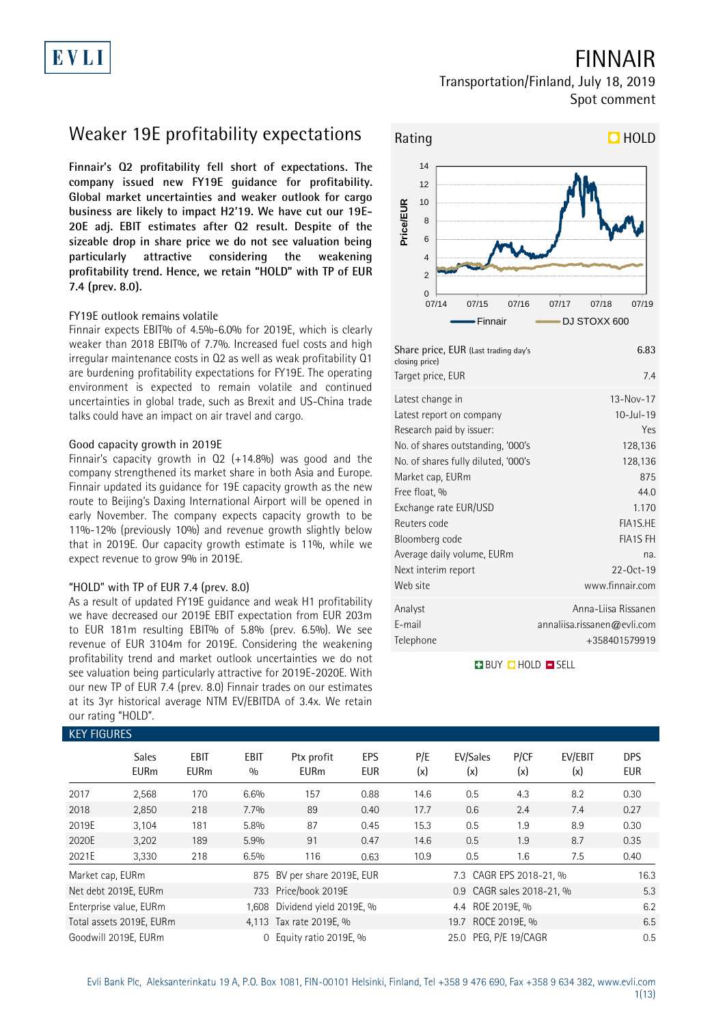## FINNAIR

Transportation/Finland, July 18, 2019 Spot comment

# Weaker 19E profitability expectations

**Finnair's Q2 profitability fell short of expectations. The company issued new FY19E guidance for profitability. Global market uncertainties and weaker outlook for cargo business are likely to impact H2'19. We have cut our 19E-20E adj. EBIT estimates after Q2 result. Despite of the sizeable drop in share price we do not see valuation being particularly attractive considering the weakening profitability trend. Hence, we retain "HOLD" with TP of EUR 7.4 (prev. 8.0).**

### FY19E outlook remains volatile

Finnair expects EBIT% of 4.5%-6.0% for 2019E, which is clearly weaker than 2018 EBIT% of 7.7%. Increased fuel costs and high irregular maintenance costs in Q2 as well as weak profitability Q1 are burdening profitability expectations for FY19E. The operating environment is expected to remain volatile and continued uncertainties in global trade, such as Brexit and US-China trade talks could have an impact on air travel and cargo.

### Good capacity growth in 2019E

Finnair's capacity growth in Q2 (+14.8%) was good and the company strengthened its market share in both Asia and Europe. Finnair updated its guidance for 19E capacity growth as the new route to Beijing's Daxing International Airport will be opened in early November. The company expects capacity growth to be 11%-12% (previously 10%) and revenue growth slightly below that in 2019E. Our capacity growth estimate is 11%, while we expect revenue to grow 9% in 2019E.

### "HOLD" with TP of EUR 7.4 (prev. 8.0)

As a result of updated FY19E guidance and weak H1 profitability we have decreased our 2019E EBIT expectation from EUR 203m to EUR 181m resulting EBIT% of 5.8% (prev. 6.5%). We see revenue of EUR 3104m for 2019E. Considering the weakening profitability trend and market outlook uncertainties we do not see valuation being particularly attractive for 2019E-2020E. With our new TP of EUR 7.4 (prev. 8.0) Finnair trades on our estimates at its 3yr historical average NTM EV/EBITDA of 3.4x. We retain our rating "HOLD".



| Share price, EUR (Last trading day's<br>closing price) | 6.83                        |
|--------------------------------------------------------|-----------------------------|
| Target price, EUR                                      | 7.4                         |
| Latest change in                                       | $13 - Nov - 17$             |
| Latest report on company                               | $10 -$ Jul-19               |
| Research paid by issuer:                               | Yes                         |
| No. of shares outstanding, '000's                      | 128,136                     |
| No. of shares fully diluted, '000's                    | 128,136                     |
| Market cap, EURm                                       | 875                         |
| Free float, %                                          | 44.0                        |
| Exchange rate EUR/USD                                  | 1.170                       |
| Reuters code                                           | FIA1S.HE                    |
| Bloomberg code                                         | <b>FIA1S FH</b>             |
| Average daily volume, EURm                             | na.                         |
| Next interim report                                    | $22 - Oct - 19$             |
| Web site                                               | www.finnair.com             |
| Analyst                                                | Anna-Liisa Rissanen         |
| E-mail                                                 | annaliisa.rissanen@evli.com |
| Telephone                                              | +358401579919               |

**BUY CHOLD ESELL** 

| <b>KEY FIGURES</b> |                             |                     |                    |                               |                   |            |                           |             |                |                          |
|--------------------|-----------------------------|---------------------|--------------------|-------------------------------|-------------------|------------|---------------------------|-------------|----------------|--------------------------|
|                    | <b>Sales</b><br><b>EURm</b> | EBIT<br><b>EURm</b> | <b>EBIT</b><br>0/0 | Ptx profit<br><b>EURm</b>     | EPS<br><b>EUR</b> | P/E<br>(x) | EV/Sales<br>(x)           | P/CF<br>(x) | EV/EBIT<br>(x) | <b>DPS</b><br><b>EUR</b> |
| 2017               | 2,568                       | 170                 | 6.6%               | 157                           | 0.88              | 14.6       | 0.5                       | 4.3         | 8.2            | 0.30                     |
| 2018               | 2,850                       | 218                 | 7.7%               | 89                            | 0.40              | 17.7       | 0.6                       | 2.4         | 7.4            | 0.27                     |
| 2019E              | 3,104                       | 181                 | 5.8%               | 87                            | 0.45              | 15.3       | 0.5                       | 1.9         | 8.9            | 0.30                     |
| 2020E              | 3,202                       | 189                 | 5.9%               | 91                            | 0.47              | 14.6       | 0.5                       | 1.9         | 8.7            | 0.35                     |
| 2021E              | 3,330                       | 218                 | 6.5%               | 116                           | 0.63              | 10.9       | 0.5                       | 1.6         | 7.5            | 0.40                     |
| Market cap, EURm   |                             |                     |                    | 875 BV per share 2019E, EUR   |                   |            | 7.3 CAGR EPS 2018-21, %   |             |                | 16.3                     |
|                    | Net debt 2019E, EURm        |                     |                    | 733 Price/book 2019E          |                   |            | 0.9 CAGR sales 2018-21, % |             |                | 5.3                      |
|                    | Enterprise value, EURm      |                     |                    | 1,608 Dividend yield 2019E, % |                   |            | 4.4 ROE 2019E. %          |             |                | 6.2                      |
|                    | Total assets 2019E, EURm    |                     |                    | 4.113 Tax rate 2019E, %       |                   |            | 19.7 ROCE 2019E, %        |             |                | 6.5                      |
|                    | Goodwill 2019E. EURm        |                     | $\Omega$           | Equity ratio 2019E, %         |                   |            | 25.0 PEG. P/E 19/CAGR     |             |                | 0.5                      |

Evli Bank Plc, Aleksanterinkatu 19 A, P.O. Box 1081, FIN-00101 Helsinki, Finland, Tel +358 9 476 690, Fax +358 9 634 382, [www.evli.com](http://www.evli.com/) 1(13)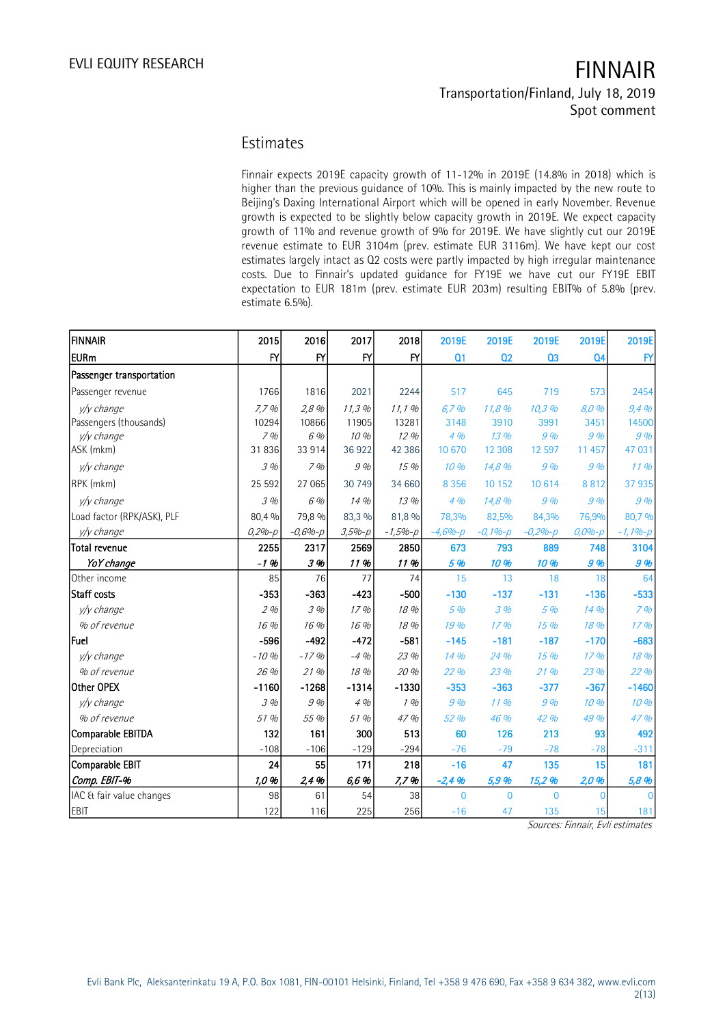### Estimates

Finnair expects 2019E capacity growth of 11-12% in 2019E (14.8% in 2018) which is higher than the previous guidance of 10%. This is mainly impacted by the new route to Beijing's Daxing International Airport which will be opened in early November. Revenue growth is expected to be slightly below capacity growth in 2019E. We expect capacity growth of 11% and revenue growth of 9% for 2019E. We have slightly cut our 2019E revenue estimate to EUR 3104m (prev. estimate EUR 3116m). We have kept our cost estimates largely intact as Q2 costs were partly impacted by high irregular maintenance costs. Due to Finnair's updated guidance for FY19E we have cut our FY19E EBIT expectation to EUR 181m (prev. estimate EUR 203m) resulting EBIT% of 5.8% (prev. estimate 6.5%).

| <b>FINNAIR</b>             | 2015         | 2016         | 2017         | 2018        | 2019E          | 2019E          | 2019E          | 2019E          | 2019E         |
|----------------------------|--------------|--------------|--------------|-------------|----------------|----------------|----------------|----------------|---------------|
| <b>EURm</b>                | $\mathsf{F}$ | $\mathsf{f}$ | $\mathsf{f}$ | Y           | Q <sub>1</sub> | Q <sub>2</sub> | Q3             | Q <sub>4</sub> | $\mathsf{FY}$ |
| Passenger transportation   |              |              |              |             |                |                |                |                |               |
| Passenger revenue          | 1766         | 1816         | 2021         | 2244        | 517            | 645            | 719            | 573            | 2454          |
| y/y change                 | 7,7%         | 2,8%         | 11,3%        | 11, 1%      | 6.7%           | 11,8 %         | 10,3 %         | 8.0%           | 9,4%          |
| Passengers (thousands)     | 10294        | 10866        | 11905        | 13281       | 3148           | 3910           | 3991           | 3451           | 14500         |
| v/v change                 | 7%           | 6 %          | 10 %         | 12%         | 4%             | 13%            | 9%             | 9%             | 9%            |
| ASK (mkm)                  | 31836        | 33 914       | 36922        | 42 386      | 10 670         | 12 308         | 12 597         | 11 457         | 47 031        |
| y/y change                 | 3%           | 7%           | 9%           | 15 %        | 10%            | 14,8 %         | 9%             | 9%             | 11%           |
| RPK (mkm)                  | 25 5 92      | 27 065       | 30 749       | 34 660      | 8 3 5 6        | 10 152         | 10 6 14        | 8812           | 37 935        |
| y/y change                 | .3%          | 6 %          | 14%          | 13 %        | 4%             | 14,8 %         | 9%             | 9%             | 9%            |
| Load factor (RPK/ASK), PLF | 80,4 %       | 79,8 %       | 83,3 %       | 81,8 %      | 78,3%          | 82,5%          | 84,3%          | 76,9%          | 80,7 %        |
| y/y change                 | $0,2%-p$     | $-0,6% - p$  | $3,5% - p$   | $-1,5% - p$ | $-4,6% - p$    | $-0,1% - p$    | $-0,2% - p$    | $0,0% - p$     | $-1, 1% - p$  |
| <b>Total revenue</b>       | 2255         | 2317         | 2569         | 2850        | 673            | 793            | 889            | 748            | 3104          |
| YoY change                 | $-1.96$      | 3 %          | 11 %         | 11%         | 5 %            | 10 %           | 10 %           | 9%             | 9 %           |
| Other income               | 85           | 76           | 77           | 74          | 15             | 13             | 18             | 18             | 64            |
| Staff costs                | $-353$       | $-363$       | $-423$       | $-500$      | $-130$         | $-137$         | $-131$         | $-136$         | $-533$        |
| y/y change                 | 2%           | 3%           | 17%          | 18 %        | 5 %            | 3%             | 5 %            | 14 %           | 7%            |
| % of revenue               | 16 %         | 16 %         | 16 %         | 18 %        | 19 %           | 17%            | 15%            | 18 %           | 17%           |
| lFuel                      | $-596$       | $-492$       | $-472$       | $-581$      | $-145$         | $-181$         | $-187$         | $-170$         | $-683$        |
| y/y change                 | $-10%$       | $-17%$       | $-4%$        | 23 %        | 14 %           | 24 %           | 15%            | 17%            | 18 %          |
| % of revenue               | 26 %         | 21%          | 18 %         | 20 %        | 22 %           | 23 %           | 21%            | 23 %           | 22 %          |
| Other OPEX                 | $-1160$      | $-1268$      | $-1314$      | $-1330$     | $-353$         | $-363$         | $-377$         | $-367$         | $-1460$       |
| y/y change                 | 3%           | 9 %          | 4%           | 1%          | 9 %            | 11%            | 9%             | 10 %           | 10 %          |
| % of revenue               | 51 %         | 55 %         | 51 %         | 47 %        | 52 %           | 46 %           | 42 %           | 49 %           | 47 %          |
| Comparable EBITDA          | 132          | 161          | 300          | 513         | 60             | 126            | 213            | 93             | 492           |
| Depreciation               | $-108$       | $-106$       | $-129$       | $-294$      | $-76$          | $-79$          | $-78$          | $-78$          | $-311$        |
| Comparable EBIT            | 24           | 55           | 171          | 218         | $-16$          | 47             | 135            | 15             | 181           |
| Comp. EBIT-%               | 1,0 %        | 2,4%         | 6,6%         | 7,7%        | $-2,4%$        | 5,9 %          | 15,2 %         | 2,0 %          | 5,8 %         |
| IAC & fair value changes   | 98           | 61           | 54           | 38          | $\overline{0}$ | $\overline{0}$ | $\overline{0}$ | $\mathbf 0$    |               |
| <b>EBIT</b>                | 122          | 116          | 225          | 256         | $-16$          | 47             | 135            | 15             | 181           |

Sources: Finnair, Evli estimates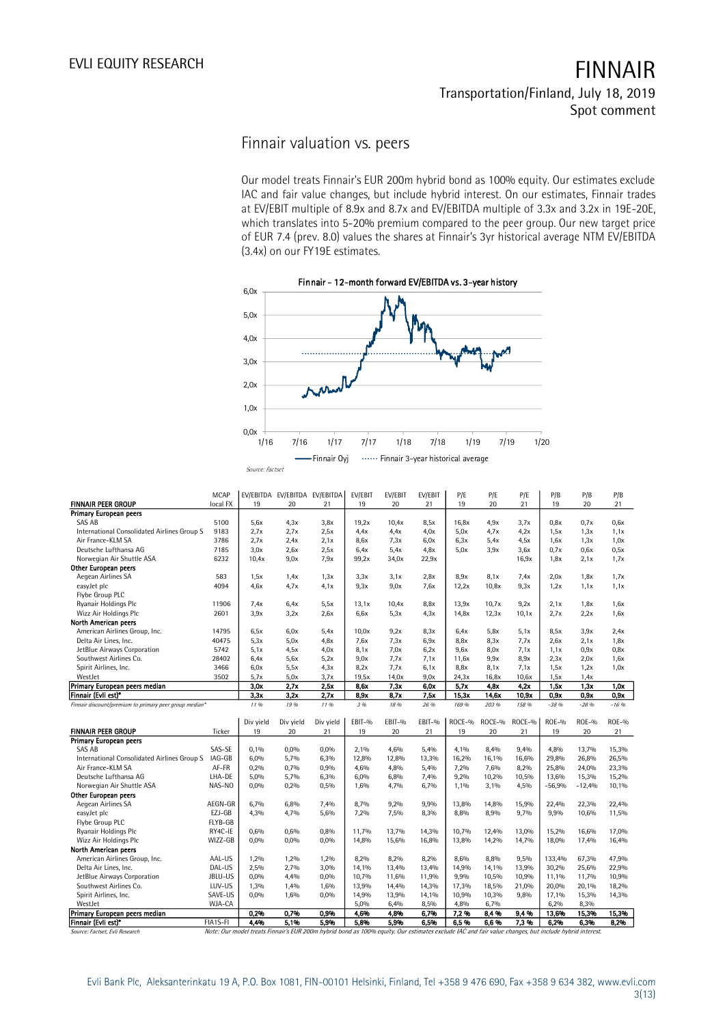### Finnair valuation vs. peers

Our model treats Finnair's EUR 200m hybrid bond as 100% equity. Our estimates exclude IAC and fair value changes, but include hybrid interest. On our estimates, Finnair trades at EV/EBIT multiple of 8.9x and 8.7x and EV/EBITDA multiple of 3.3x and 3.2x in 19E-20E, which translates into 5-20% premium compared to the peer group. Our new target price of EUR 7.4 (prev. 8.0) values the shares at Finnair's 3yr historical average NTM EV/EBITDA (3.4x) on our FY19E estimates.



| Primary European peers<br>SAS AB<br>5100<br>5,6x<br>4,3x<br>3,8x<br>19,2x<br>10,4x<br>8,5x<br>16,8x<br>4,9x<br>3,7x<br>0,8x<br>0.7x<br>0,6x<br>2.7x<br>International Consolidated Airlines Group S<br>9183<br>2.7x<br>2,5x<br>4.4x<br>4.4x<br>4.0x<br>5.0x<br>4.7x<br>4.2x<br>1,5x<br>1,3x<br>1,1x<br>Air France-KLM SA<br>3786<br>2.7x<br>2.4x<br>2.1x<br>8,6x<br>7.3x<br>6,0x<br>6.3x<br>5.4x<br>4,5x<br>1,0x<br>1,6x<br>1,3x<br>Deutsche Lufthansa AG<br>7185<br>3,0x<br>2,6x<br>2,5x<br>5,4x<br>4.8x<br>5.0x<br>3,9x<br>0,5x<br>6,4x<br>3,6x<br>0.7x<br>0,6x<br>6232<br>Norwegian Air Shuttle ASA<br>10,4x<br>9,0x<br>7.9x<br>99,2x<br>34,0x<br>16,9x<br>1,7x<br>22,9x<br>1,8x<br>2.1x<br>Other European peers<br>Aegean Airlines SA<br>583<br>3,1x<br>7,4x<br>1,7x<br>1,5x<br>1.4x<br>1,3x<br>3,3x<br>2,8x<br>8,9x<br>8,1x<br>2,0x<br>1,8x<br>easyJet plc<br>4094<br>4.6x<br>4.7x<br>4.1x<br>9,3x<br>9,0x<br>7,6x<br>12,2x<br>10,8x<br>9,3x<br>1,2x<br>1,1x<br>1,1x<br>Flybe Group PLC<br>Ryanair Holdings Plc<br>11906<br>7.4x<br>6.4x<br>5.5x<br>13,1x<br>10,4x<br>8,8x<br>13,9x<br>10,7x<br>9,2x<br>2.1x<br>1,8x<br>1,6x<br>Wizz Air Holdings Plc<br>2601<br>3,9x<br>3,2x<br>2,6x<br>6,6x<br>5.3x<br>4.3x<br>14,8x<br>12,3x<br>10,1x<br>2.7x<br>2.2x<br>1,6x<br>North American peers<br>American Airlines Group, Inc.<br>14795<br>9,2x<br>6,5x<br>6,0x<br>5,4x<br>10.0x<br>8.3x<br>6.4x<br>5,8x<br>5,1x<br>8,5x<br>3,9x<br>2,4x<br>Delta Air Lines, Inc.<br>40475<br>5.3x<br>5,0x<br>7,6x<br>7.3x<br>7.7x<br>4.8x<br>6.9x<br>8,8x<br>8,3x<br>2,6x<br>2.1x<br>1,8x<br>JetBlue Airways Corporation<br>5742<br>5.1x<br>4.5x<br>8,1x<br>7.0x<br>6.2x<br>9,6x<br>8,0x<br>7.1x<br>4.0x<br>1,1x<br>0.9x<br>0,8x<br>Southwest Airlines Co.<br>28402<br>6.4x<br>5.6x<br>5.2x<br>9,0x<br>7.7x<br>7.1x<br>11,6x<br>9,9x<br>8,9x<br>2.3x<br>2.0x<br>1,6x<br>Spirit Airlines, Inc.<br>3466<br>5,5x<br>7.7x<br>6,0x<br>4,3x<br>8,2x<br>6,1x<br>8,8x<br>8,1x<br>7,1x<br>1,5x<br>1,2x<br>1,0x<br>WestJet<br>3502<br>5,7x<br>5,0x<br>3,7x<br>14,0x<br>9,0x<br>24,3x<br>16,8x<br>10,6x<br>19,5x<br>1,5x<br>1,4x<br>Primary European peers median<br>2.7x<br>2.5x<br>7.3x<br>3.0x<br>8.6x<br>6.0x<br>5.7x<br>4.8x<br>4.2x<br>1.5x<br>1.3x<br>1.0x<br>Finnair (Evli est)*<br>3,3x<br>2,7x<br>8,7x<br>14,6x<br>0.9x<br>3,2x<br>8,9x<br>7,5x<br>15.3x<br>10,9x<br>0,9x<br>0,9x<br>11 %<br>19 %<br>11 %<br>3 %<br>18 %<br>169 %<br>203 %<br>158 %<br>$-16.96$<br>Finnair discount/premium to primary peer group median*<br>26 %<br>$-38%$<br>$-28%$<br>Div yield<br>EBIT-%<br>EBIT-%<br>EBIT-%<br>ROCE-%<br>ROCE-%<br>ROCE-%<br>$ROE-0$<br>$ROE-9$<br><b>ROE-%</b><br>Div yield<br>Div yield<br><b>FINNAIR PEER GROUP</b><br>19<br>19<br>20<br>21<br>19<br>20<br>21<br>19<br>20<br>21<br>Ticker<br>20<br>21<br>Primary European peers<br>SAS-SE<br>0,0%<br>8,4%<br>9,4%<br>SAS AB<br>0.1%<br>0,0%<br>2,1%<br>4,6%<br>5.4%<br>4.1%<br>4,8%<br>13,7%<br>15,3%<br>IAG-GB<br>International Consolidated Airlines Group S<br>6,0%<br>5,7%<br>6,3%<br>12,8%<br>12,8%<br>13,3%<br>16,2%<br>16,1%<br>16,6%<br>29,8%<br>26,8%<br>26,5%<br>Air France-KLM SA<br>AF-FR<br>0,2%<br>0,7%<br>0,9%<br>4,6%<br>4,8%<br>5,4%<br>7,2%<br>7,6%<br>8,2%<br>25,8%<br>24,0%<br>23,3%<br>Deutsche Lufthansa AG<br>LHA-DE<br>10,5%<br>5,0%<br>5,7%<br>6,3%<br>6,0%<br>6,8%<br>7,4%<br>9,2%<br>10,2%<br>13,6%<br>15,3%<br>15,2%<br>Norwegian Air Shuttle ASA<br>NAS-NO<br>0,5%<br>3,1%<br>4,5%<br>0,0%<br>0,2%<br>1,6%<br>4,7%<br>6,7%<br>1,1%<br>$-56,9%$<br>$-12,4%$<br>10,1%<br>Other European peers<br>Aegean Airlines SA<br>AEGN-GR<br>6.7%<br>6.8%<br>7.4%<br>8.7%<br>9.2%<br>9.9%<br>13.8%<br>14,8%<br>15,9%<br>22,4%<br>22.4%<br>22,3%<br>EZJ-GB<br>easyJet plc<br>4,3%<br>4,7%<br>5,6%<br>7,2%<br>7,5%<br>8,3%<br>8,8%<br>8,9%<br>9,7%<br>9,9%<br>10,6%<br>11,5%<br>FLYB-GB<br>Flybe Group PLC<br>RY4C-IE<br>Ryanair Holdings Plc<br>0,6%<br>0,6%<br>0,8%<br>11,7%<br>13,7%<br>14,3%<br>10,7%<br>12,4%<br>13,0%<br>15,2%<br>16,6%<br>17,0% |                           | MCAP     |      | EV/EBITDA EV/EBITDA EV/EBITDA |      | EV/EBIT | EV/EBIT | EV/EBIT | P/E   | P/E   | P/E   | P/B   | P/B   | P/B   |
|-------------------------------------------------------------------------------------------------------------------------------------------------------------------------------------------------------------------------------------------------------------------------------------------------------------------------------------------------------------------------------------------------------------------------------------------------------------------------------------------------------------------------------------------------------------------------------------------------------------------------------------------------------------------------------------------------------------------------------------------------------------------------------------------------------------------------------------------------------------------------------------------------------------------------------------------------------------------------------------------------------------------------------------------------------------------------------------------------------------------------------------------------------------------------------------------------------------------------------------------------------------------------------------------------------------------------------------------------------------------------------------------------------------------------------------------------------------------------------------------------------------------------------------------------------------------------------------------------------------------------------------------------------------------------------------------------------------------------------------------------------------------------------------------------------------------------------------------------------------------------------------------------------------------------------------------------------------------------------------------------------------------------------------------------------------------------------------------------------------------------------------------------------------------------------------------------------------------------------------------------------------------------------------------------------------------------------------------------------------------------------------------------------------------------------------------------------------------------------------------------------------------------------------------------------------------------------------------------------------------------------------------------------------------------------------------------------------------------------------------------------------------------------------------------------------------------------------------------------------------------------------------------------------------------------------------------------------------------------------------------------------------------------------------------------------------------------------------------------------------------------------------------------------------------------------------------------------------------------------------------------------------------------------------------------------------------------------------------------------------------------------------------------------------------------------------------------------------------------------------------------------------------------------------------------------------------------------------------------------------------------------------------------------------------------------------------------------------------------------------------------------------------------------------------------------------------------------------------------------------------------------------------------------------------------------------------------------------------------------------------------------|---------------------------|----------|------|-------------------------------|------|---------|---------|---------|-------|-------|-------|-------|-------|-------|
|                                                                                                                                                                                                                                                                                                                                                                                                                                                                                                                                                                                                                                                                                                                                                                                                                                                                                                                                                                                                                                                                                                                                                                                                                                                                                                                                                                                                                                                                                                                                                                                                                                                                                                                                                                                                                                                                                                                                                                                                                                                                                                                                                                                                                                                                                                                                                                                                                                                                                                                                                                                                                                                                                                                                                                                                                                                                                                                                                                                                                                                                                                                                                                                                                                                                                                                                                                                                                                                                                                                                                                                                                                                                                                                                                                                                                                                                                                                                                                                                             | <b>FINNAIR PEER GROUP</b> | local FX | 19   | 20                            | 21   | 19      | 20      | 21      | 19    | 20    | 21    | 19    | 20    | 21    |
|                                                                                                                                                                                                                                                                                                                                                                                                                                                                                                                                                                                                                                                                                                                                                                                                                                                                                                                                                                                                                                                                                                                                                                                                                                                                                                                                                                                                                                                                                                                                                                                                                                                                                                                                                                                                                                                                                                                                                                                                                                                                                                                                                                                                                                                                                                                                                                                                                                                                                                                                                                                                                                                                                                                                                                                                                                                                                                                                                                                                                                                                                                                                                                                                                                                                                                                                                                                                                                                                                                                                                                                                                                                                                                                                                                                                                                                                                                                                                                                                             |                           |          |      |                               |      |         |         |         |       |       |       |       |       |       |
|                                                                                                                                                                                                                                                                                                                                                                                                                                                                                                                                                                                                                                                                                                                                                                                                                                                                                                                                                                                                                                                                                                                                                                                                                                                                                                                                                                                                                                                                                                                                                                                                                                                                                                                                                                                                                                                                                                                                                                                                                                                                                                                                                                                                                                                                                                                                                                                                                                                                                                                                                                                                                                                                                                                                                                                                                                                                                                                                                                                                                                                                                                                                                                                                                                                                                                                                                                                                                                                                                                                                                                                                                                                                                                                                                                                                                                                                                                                                                                                                             |                           |          |      |                               |      |         |         |         |       |       |       |       |       |       |
|                                                                                                                                                                                                                                                                                                                                                                                                                                                                                                                                                                                                                                                                                                                                                                                                                                                                                                                                                                                                                                                                                                                                                                                                                                                                                                                                                                                                                                                                                                                                                                                                                                                                                                                                                                                                                                                                                                                                                                                                                                                                                                                                                                                                                                                                                                                                                                                                                                                                                                                                                                                                                                                                                                                                                                                                                                                                                                                                                                                                                                                                                                                                                                                                                                                                                                                                                                                                                                                                                                                                                                                                                                                                                                                                                                                                                                                                                                                                                                                                             |                           |          |      |                               |      |         |         |         |       |       |       |       |       |       |
|                                                                                                                                                                                                                                                                                                                                                                                                                                                                                                                                                                                                                                                                                                                                                                                                                                                                                                                                                                                                                                                                                                                                                                                                                                                                                                                                                                                                                                                                                                                                                                                                                                                                                                                                                                                                                                                                                                                                                                                                                                                                                                                                                                                                                                                                                                                                                                                                                                                                                                                                                                                                                                                                                                                                                                                                                                                                                                                                                                                                                                                                                                                                                                                                                                                                                                                                                                                                                                                                                                                                                                                                                                                                                                                                                                                                                                                                                                                                                                                                             |                           |          |      |                               |      |         |         |         |       |       |       |       |       |       |
|                                                                                                                                                                                                                                                                                                                                                                                                                                                                                                                                                                                                                                                                                                                                                                                                                                                                                                                                                                                                                                                                                                                                                                                                                                                                                                                                                                                                                                                                                                                                                                                                                                                                                                                                                                                                                                                                                                                                                                                                                                                                                                                                                                                                                                                                                                                                                                                                                                                                                                                                                                                                                                                                                                                                                                                                                                                                                                                                                                                                                                                                                                                                                                                                                                                                                                                                                                                                                                                                                                                                                                                                                                                                                                                                                                                                                                                                                                                                                                                                             |                           |          |      |                               |      |         |         |         |       |       |       |       |       |       |
|                                                                                                                                                                                                                                                                                                                                                                                                                                                                                                                                                                                                                                                                                                                                                                                                                                                                                                                                                                                                                                                                                                                                                                                                                                                                                                                                                                                                                                                                                                                                                                                                                                                                                                                                                                                                                                                                                                                                                                                                                                                                                                                                                                                                                                                                                                                                                                                                                                                                                                                                                                                                                                                                                                                                                                                                                                                                                                                                                                                                                                                                                                                                                                                                                                                                                                                                                                                                                                                                                                                                                                                                                                                                                                                                                                                                                                                                                                                                                                                                             |                           |          |      |                               |      |         |         |         |       |       |       |       |       |       |
|                                                                                                                                                                                                                                                                                                                                                                                                                                                                                                                                                                                                                                                                                                                                                                                                                                                                                                                                                                                                                                                                                                                                                                                                                                                                                                                                                                                                                                                                                                                                                                                                                                                                                                                                                                                                                                                                                                                                                                                                                                                                                                                                                                                                                                                                                                                                                                                                                                                                                                                                                                                                                                                                                                                                                                                                                                                                                                                                                                                                                                                                                                                                                                                                                                                                                                                                                                                                                                                                                                                                                                                                                                                                                                                                                                                                                                                                                                                                                                                                             |                           |          |      |                               |      |         |         |         |       |       |       |       |       |       |
|                                                                                                                                                                                                                                                                                                                                                                                                                                                                                                                                                                                                                                                                                                                                                                                                                                                                                                                                                                                                                                                                                                                                                                                                                                                                                                                                                                                                                                                                                                                                                                                                                                                                                                                                                                                                                                                                                                                                                                                                                                                                                                                                                                                                                                                                                                                                                                                                                                                                                                                                                                                                                                                                                                                                                                                                                                                                                                                                                                                                                                                                                                                                                                                                                                                                                                                                                                                                                                                                                                                                                                                                                                                                                                                                                                                                                                                                                                                                                                                                             |                           |          |      |                               |      |         |         |         |       |       |       |       |       |       |
|                                                                                                                                                                                                                                                                                                                                                                                                                                                                                                                                                                                                                                                                                                                                                                                                                                                                                                                                                                                                                                                                                                                                                                                                                                                                                                                                                                                                                                                                                                                                                                                                                                                                                                                                                                                                                                                                                                                                                                                                                                                                                                                                                                                                                                                                                                                                                                                                                                                                                                                                                                                                                                                                                                                                                                                                                                                                                                                                                                                                                                                                                                                                                                                                                                                                                                                                                                                                                                                                                                                                                                                                                                                                                                                                                                                                                                                                                                                                                                                                             |                           |          |      |                               |      |         |         |         |       |       |       |       |       |       |
|                                                                                                                                                                                                                                                                                                                                                                                                                                                                                                                                                                                                                                                                                                                                                                                                                                                                                                                                                                                                                                                                                                                                                                                                                                                                                                                                                                                                                                                                                                                                                                                                                                                                                                                                                                                                                                                                                                                                                                                                                                                                                                                                                                                                                                                                                                                                                                                                                                                                                                                                                                                                                                                                                                                                                                                                                                                                                                                                                                                                                                                                                                                                                                                                                                                                                                                                                                                                                                                                                                                                                                                                                                                                                                                                                                                                                                                                                                                                                                                                             |                           |          |      |                               |      |         |         |         |       |       |       |       |       |       |
|                                                                                                                                                                                                                                                                                                                                                                                                                                                                                                                                                                                                                                                                                                                                                                                                                                                                                                                                                                                                                                                                                                                                                                                                                                                                                                                                                                                                                                                                                                                                                                                                                                                                                                                                                                                                                                                                                                                                                                                                                                                                                                                                                                                                                                                                                                                                                                                                                                                                                                                                                                                                                                                                                                                                                                                                                                                                                                                                                                                                                                                                                                                                                                                                                                                                                                                                                                                                                                                                                                                                                                                                                                                                                                                                                                                                                                                                                                                                                                                                             |                           |          |      |                               |      |         |         |         |       |       |       |       |       |       |
|                                                                                                                                                                                                                                                                                                                                                                                                                                                                                                                                                                                                                                                                                                                                                                                                                                                                                                                                                                                                                                                                                                                                                                                                                                                                                                                                                                                                                                                                                                                                                                                                                                                                                                                                                                                                                                                                                                                                                                                                                                                                                                                                                                                                                                                                                                                                                                                                                                                                                                                                                                                                                                                                                                                                                                                                                                                                                                                                                                                                                                                                                                                                                                                                                                                                                                                                                                                                                                                                                                                                                                                                                                                                                                                                                                                                                                                                                                                                                                                                             |                           |          |      |                               |      |         |         |         |       |       |       |       |       |       |
|                                                                                                                                                                                                                                                                                                                                                                                                                                                                                                                                                                                                                                                                                                                                                                                                                                                                                                                                                                                                                                                                                                                                                                                                                                                                                                                                                                                                                                                                                                                                                                                                                                                                                                                                                                                                                                                                                                                                                                                                                                                                                                                                                                                                                                                                                                                                                                                                                                                                                                                                                                                                                                                                                                                                                                                                                                                                                                                                                                                                                                                                                                                                                                                                                                                                                                                                                                                                                                                                                                                                                                                                                                                                                                                                                                                                                                                                                                                                                                                                             |                           |          |      |                               |      |         |         |         |       |       |       |       |       |       |
|                                                                                                                                                                                                                                                                                                                                                                                                                                                                                                                                                                                                                                                                                                                                                                                                                                                                                                                                                                                                                                                                                                                                                                                                                                                                                                                                                                                                                                                                                                                                                                                                                                                                                                                                                                                                                                                                                                                                                                                                                                                                                                                                                                                                                                                                                                                                                                                                                                                                                                                                                                                                                                                                                                                                                                                                                                                                                                                                                                                                                                                                                                                                                                                                                                                                                                                                                                                                                                                                                                                                                                                                                                                                                                                                                                                                                                                                                                                                                                                                             |                           |          |      |                               |      |         |         |         |       |       |       |       |       |       |
|                                                                                                                                                                                                                                                                                                                                                                                                                                                                                                                                                                                                                                                                                                                                                                                                                                                                                                                                                                                                                                                                                                                                                                                                                                                                                                                                                                                                                                                                                                                                                                                                                                                                                                                                                                                                                                                                                                                                                                                                                                                                                                                                                                                                                                                                                                                                                                                                                                                                                                                                                                                                                                                                                                                                                                                                                                                                                                                                                                                                                                                                                                                                                                                                                                                                                                                                                                                                                                                                                                                                                                                                                                                                                                                                                                                                                                                                                                                                                                                                             |                           |          |      |                               |      |         |         |         |       |       |       |       |       |       |
|                                                                                                                                                                                                                                                                                                                                                                                                                                                                                                                                                                                                                                                                                                                                                                                                                                                                                                                                                                                                                                                                                                                                                                                                                                                                                                                                                                                                                                                                                                                                                                                                                                                                                                                                                                                                                                                                                                                                                                                                                                                                                                                                                                                                                                                                                                                                                                                                                                                                                                                                                                                                                                                                                                                                                                                                                                                                                                                                                                                                                                                                                                                                                                                                                                                                                                                                                                                                                                                                                                                                                                                                                                                                                                                                                                                                                                                                                                                                                                                                             |                           |          |      |                               |      |         |         |         |       |       |       |       |       |       |
|                                                                                                                                                                                                                                                                                                                                                                                                                                                                                                                                                                                                                                                                                                                                                                                                                                                                                                                                                                                                                                                                                                                                                                                                                                                                                                                                                                                                                                                                                                                                                                                                                                                                                                                                                                                                                                                                                                                                                                                                                                                                                                                                                                                                                                                                                                                                                                                                                                                                                                                                                                                                                                                                                                                                                                                                                                                                                                                                                                                                                                                                                                                                                                                                                                                                                                                                                                                                                                                                                                                                                                                                                                                                                                                                                                                                                                                                                                                                                                                                             |                           |          |      |                               |      |         |         |         |       |       |       |       |       |       |
|                                                                                                                                                                                                                                                                                                                                                                                                                                                                                                                                                                                                                                                                                                                                                                                                                                                                                                                                                                                                                                                                                                                                                                                                                                                                                                                                                                                                                                                                                                                                                                                                                                                                                                                                                                                                                                                                                                                                                                                                                                                                                                                                                                                                                                                                                                                                                                                                                                                                                                                                                                                                                                                                                                                                                                                                                                                                                                                                                                                                                                                                                                                                                                                                                                                                                                                                                                                                                                                                                                                                                                                                                                                                                                                                                                                                                                                                                                                                                                                                             |                           |          |      |                               |      |         |         |         |       |       |       |       |       |       |
|                                                                                                                                                                                                                                                                                                                                                                                                                                                                                                                                                                                                                                                                                                                                                                                                                                                                                                                                                                                                                                                                                                                                                                                                                                                                                                                                                                                                                                                                                                                                                                                                                                                                                                                                                                                                                                                                                                                                                                                                                                                                                                                                                                                                                                                                                                                                                                                                                                                                                                                                                                                                                                                                                                                                                                                                                                                                                                                                                                                                                                                                                                                                                                                                                                                                                                                                                                                                                                                                                                                                                                                                                                                                                                                                                                                                                                                                                                                                                                                                             |                           |          |      |                               |      |         |         |         |       |       |       |       |       |       |
|                                                                                                                                                                                                                                                                                                                                                                                                                                                                                                                                                                                                                                                                                                                                                                                                                                                                                                                                                                                                                                                                                                                                                                                                                                                                                                                                                                                                                                                                                                                                                                                                                                                                                                                                                                                                                                                                                                                                                                                                                                                                                                                                                                                                                                                                                                                                                                                                                                                                                                                                                                                                                                                                                                                                                                                                                                                                                                                                                                                                                                                                                                                                                                                                                                                                                                                                                                                                                                                                                                                                                                                                                                                                                                                                                                                                                                                                                                                                                                                                             |                           |          |      |                               |      |         |         |         |       |       |       |       |       |       |
|                                                                                                                                                                                                                                                                                                                                                                                                                                                                                                                                                                                                                                                                                                                                                                                                                                                                                                                                                                                                                                                                                                                                                                                                                                                                                                                                                                                                                                                                                                                                                                                                                                                                                                                                                                                                                                                                                                                                                                                                                                                                                                                                                                                                                                                                                                                                                                                                                                                                                                                                                                                                                                                                                                                                                                                                                                                                                                                                                                                                                                                                                                                                                                                                                                                                                                                                                                                                                                                                                                                                                                                                                                                                                                                                                                                                                                                                                                                                                                                                             |                           |          |      |                               |      |         |         |         |       |       |       |       |       |       |
|                                                                                                                                                                                                                                                                                                                                                                                                                                                                                                                                                                                                                                                                                                                                                                                                                                                                                                                                                                                                                                                                                                                                                                                                                                                                                                                                                                                                                                                                                                                                                                                                                                                                                                                                                                                                                                                                                                                                                                                                                                                                                                                                                                                                                                                                                                                                                                                                                                                                                                                                                                                                                                                                                                                                                                                                                                                                                                                                                                                                                                                                                                                                                                                                                                                                                                                                                                                                                                                                                                                                                                                                                                                                                                                                                                                                                                                                                                                                                                                                             |                           |          |      |                               |      |         |         |         |       |       |       |       |       |       |
|                                                                                                                                                                                                                                                                                                                                                                                                                                                                                                                                                                                                                                                                                                                                                                                                                                                                                                                                                                                                                                                                                                                                                                                                                                                                                                                                                                                                                                                                                                                                                                                                                                                                                                                                                                                                                                                                                                                                                                                                                                                                                                                                                                                                                                                                                                                                                                                                                                                                                                                                                                                                                                                                                                                                                                                                                                                                                                                                                                                                                                                                                                                                                                                                                                                                                                                                                                                                                                                                                                                                                                                                                                                                                                                                                                                                                                                                                                                                                                                                             |                           |          |      |                               |      |         |         |         |       |       |       |       |       |       |
|                                                                                                                                                                                                                                                                                                                                                                                                                                                                                                                                                                                                                                                                                                                                                                                                                                                                                                                                                                                                                                                                                                                                                                                                                                                                                                                                                                                                                                                                                                                                                                                                                                                                                                                                                                                                                                                                                                                                                                                                                                                                                                                                                                                                                                                                                                                                                                                                                                                                                                                                                                                                                                                                                                                                                                                                                                                                                                                                                                                                                                                                                                                                                                                                                                                                                                                                                                                                                                                                                                                                                                                                                                                                                                                                                                                                                                                                                                                                                                                                             |                           |          |      |                               |      |         |         |         |       |       |       |       |       |       |
|                                                                                                                                                                                                                                                                                                                                                                                                                                                                                                                                                                                                                                                                                                                                                                                                                                                                                                                                                                                                                                                                                                                                                                                                                                                                                                                                                                                                                                                                                                                                                                                                                                                                                                                                                                                                                                                                                                                                                                                                                                                                                                                                                                                                                                                                                                                                                                                                                                                                                                                                                                                                                                                                                                                                                                                                                                                                                                                                                                                                                                                                                                                                                                                                                                                                                                                                                                                                                                                                                                                                                                                                                                                                                                                                                                                                                                                                                                                                                                                                             |                           |          |      |                               |      |         |         |         |       |       |       |       |       |       |
|                                                                                                                                                                                                                                                                                                                                                                                                                                                                                                                                                                                                                                                                                                                                                                                                                                                                                                                                                                                                                                                                                                                                                                                                                                                                                                                                                                                                                                                                                                                                                                                                                                                                                                                                                                                                                                                                                                                                                                                                                                                                                                                                                                                                                                                                                                                                                                                                                                                                                                                                                                                                                                                                                                                                                                                                                                                                                                                                                                                                                                                                                                                                                                                                                                                                                                                                                                                                                                                                                                                                                                                                                                                                                                                                                                                                                                                                                                                                                                                                             |                           |          |      |                               |      |         |         |         |       |       |       |       |       |       |
|                                                                                                                                                                                                                                                                                                                                                                                                                                                                                                                                                                                                                                                                                                                                                                                                                                                                                                                                                                                                                                                                                                                                                                                                                                                                                                                                                                                                                                                                                                                                                                                                                                                                                                                                                                                                                                                                                                                                                                                                                                                                                                                                                                                                                                                                                                                                                                                                                                                                                                                                                                                                                                                                                                                                                                                                                                                                                                                                                                                                                                                                                                                                                                                                                                                                                                                                                                                                                                                                                                                                                                                                                                                                                                                                                                                                                                                                                                                                                                                                             |                           |          |      |                               |      |         |         |         |       |       |       |       |       |       |
|                                                                                                                                                                                                                                                                                                                                                                                                                                                                                                                                                                                                                                                                                                                                                                                                                                                                                                                                                                                                                                                                                                                                                                                                                                                                                                                                                                                                                                                                                                                                                                                                                                                                                                                                                                                                                                                                                                                                                                                                                                                                                                                                                                                                                                                                                                                                                                                                                                                                                                                                                                                                                                                                                                                                                                                                                                                                                                                                                                                                                                                                                                                                                                                                                                                                                                                                                                                                                                                                                                                                                                                                                                                                                                                                                                                                                                                                                                                                                                                                             |                           |          |      |                               |      |         |         |         |       |       |       |       |       |       |
|                                                                                                                                                                                                                                                                                                                                                                                                                                                                                                                                                                                                                                                                                                                                                                                                                                                                                                                                                                                                                                                                                                                                                                                                                                                                                                                                                                                                                                                                                                                                                                                                                                                                                                                                                                                                                                                                                                                                                                                                                                                                                                                                                                                                                                                                                                                                                                                                                                                                                                                                                                                                                                                                                                                                                                                                                                                                                                                                                                                                                                                                                                                                                                                                                                                                                                                                                                                                                                                                                                                                                                                                                                                                                                                                                                                                                                                                                                                                                                                                             |                           |          |      |                               |      |         |         |         |       |       |       |       |       |       |
|                                                                                                                                                                                                                                                                                                                                                                                                                                                                                                                                                                                                                                                                                                                                                                                                                                                                                                                                                                                                                                                                                                                                                                                                                                                                                                                                                                                                                                                                                                                                                                                                                                                                                                                                                                                                                                                                                                                                                                                                                                                                                                                                                                                                                                                                                                                                                                                                                                                                                                                                                                                                                                                                                                                                                                                                                                                                                                                                                                                                                                                                                                                                                                                                                                                                                                                                                                                                                                                                                                                                                                                                                                                                                                                                                                                                                                                                                                                                                                                                             |                           |          |      |                               |      |         |         |         |       |       |       |       |       |       |
|                                                                                                                                                                                                                                                                                                                                                                                                                                                                                                                                                                                                                                                                                                                                                                                                                                                                                                                                                                                                                                                                                                                                                                                                                                                                                                                                                                                                                                                                                                                                                                                                                                                                                                                                                                                                                                                                                                                                                                                                                                                                                                                                                                                                                                                                                                                                                                                                                                                                                                                                                                                                                                                                                                                                                                                                                                                                                                                                                                                                                                                                                                                                                                                                                                                                                                                                                                                                                                                                                                                                                                                                                                                                                                                                                                                                                                                                                                                                                                                                             |                           |          |      |                               |      |         |         |         |       |       |       |       |       |       |
|                                                                                                                                                                                                                                                                                                                                                                                                                                                                                                                                                                                                                                                                                                                                                                                                                                                                                                                                                                                                                                                                                                                                                                                                                                                                                                                                                                                                                                                                                                                                                                                                                                                                                                                                                                                                                                                                                                                                                                                                                                                                                                                                                                                                                                                                                                                                                                                                                                                                                                                                                                                                                                                                                                                                                                                                                                                                                                                                                                                                                                                                                                                                                                                                                                                                                                                                                                                                                                                                                                                                                                                                                                                                                                                                                                                                                                                                                                                                                                                                             |                           |          |      |                               |      |         |         |         |       |       |       |       |       |       |
|                                                                                                                                                                                                                                                                                                                                                                                                                                                                                                                                                                                                                                                                                                                                                                                                                                                                                                                                                                                                                                                                                                                                                                                                                                                                                                                                                                                                                                                                                                                                                                                                                                                                                                                                                                                                                                                                                                                                                                                                                                                                                                                                                                                                                                                                                                                                                                                                                                                                                                                                                                                                                                                                                                                                                                                                                                                                                                                                                                                                                                                                                                                                                                                                                                                                                                                                                                                                                                                                                                                                                                                                                                                                                                                                                                                                                                                                                                                                                                                                             |                           |          |      |                               |      |         |         |         |       |       |       |       |       |       |
|                                                                                                                                                                                                                                                                                                                                                                                                                                                                                                                                                                                                                                                                                                                                                                                                                                                                                                                                                                                                                                                                                                                                                                                                                                                                                                                                                                                                                                                                                                                                                                                                                                                                                                                                                                                                                                                                                                                                                                                                                                                                                                                                                                                                                                                                                                                                                                                                                                                                                                                                                                                                                                                                                                                                                                                                                                                                                                                                                                                                                                                                                                                                                                                                                                                                                                                                                                                                                                                                                                                                                                                                                                                                                                                                                                                                                                                                                                                                                                                                             |                           |          |      |                               |      |         |         |         |       |       |       |       |       |       |
|                                                                                                                                                                                                                                                                                                                                                                                                                                                                                                                                                                                                                                                                                                                                                                                                                                                                                                                                                                                                                                                                                                                                                                                                                                                                                                                                                                                                                                                                                                                                                                                                                                                                                                                                                                                                                                                                                                                                                                                                                                                                                                                                                                                                                                                                                                                                                                                                                                                                                                                                                                                                                                                                                                                                                                                                                                                                                                                                                                                                                                                                                                                                                                                                                                                                                                                                                                                                                                                                                                                                                                                                                                                                                                                                                                                                                                                                                                                                                                                                             |                           |          |      |                               |      |         |         |         |       |       |       |       |       |       |
|                                                                                                                                                                                                                                                                                                                                                                                                                                                                                                                                                                                                                                                                                                                                                                                                                                                                                                                                                                                                                                                                                                                                                                                                                                                                                                                                                                                                                                                                                                                                                                                                                                                                                                                                                                                                                                                                                                                                                                                                                                                                                                                                                                                                                                                                                                                                                                                                                                                                                                                                                                                                                                                                                                                                                                                                                                                                                                                                                                                                                                                                                                                                                                                                                                                                                                                                                                                                                                                                                                                                                                                                                                                                                                                                                                                                                                                                                                                                                                                                             |                           |          |      |                               |      |         |         |         |       |       |       |       |       |       |
|                                                                                                                                                                                                                                                                                                                                                                                                                                                                                                                                                                                                                                                                                                                                                                                                                                                                                                                                                                                                                                                                                                                                                                                                                                                                                                                                                                                                                                                                                                                                                                                                                                                                                                                                                                                                                                                                                                                                                                                                                                                                                                                                                                                                                                                                                                                                                                                                                                                                                                                                                                                                                                                                                                                                                                                                                                                                                                                                                                                                                                                                                                                                                                                                                                                                                                                                                                                                                                                                                                                                                                                                                                                                                                                                                                                                                                                                                                                                                                                                             | Wizz Air Holdings Plc     | WIZZ-GB  | 0,0% | 0,0%                          | 0,0% | 14,8%   | 15,6%   | 16,8%   | 13,8% | 14,2% | 14,7% | 18,0% | 17,4% | 16,4% |
| North American peers                                                                                                                                                                                                                                                                                                                                                                                                                                                                                                                                                                                                                                                                                                                                                                                                                                                                                                                                                                                                                                                                                                                                                                                                                                                                                                                                                                                                                                                                                                                                                                                                                                                                                                                                                                                                                                                                                                                                                                                                                                                                                                                                                                                                                                                                                                                                                                                                                                                                                                                                                                                                                                                                                                                                                                                                                                                                                                                                                                                                                                                                                                                                                                                                                                                                                                                                                                                                                                                                                                                                                                                                                                                                                                                                                                                                                                                                                                                                                                                        |                           |          |      |                               |      |         |         |         |       |       |       |       |       |       |
| American Airlines Group, Inc.<br>AAL-US<br>8,2%<br>8,2%<br>9,5%<br>133,4%<br>47,9%<br>1,2%<br>1,2%<br>1,2%<br>8,2%<br>8,6%<br>8,8%<br>67,3%                                                                                                                                                                                                                                                                                                                                                                                                                                                                                                                                                                                                                                                                                                                                                                                                                                                                                                                                                                                                                                                                                                                                                                                                                                                                                                                                                                                                                                                                                                                                                                                                                                                                                                                                                                                                                                                                                                                                                                                                                                                                                                                                                                                                                                                                                                                                                                                                                                                                                                                                                                                                                                                                                                                                                                                                                                                                                                                                                                                                                                                                                                                                                                                                                                                                                                                                                                                                                                                                                                                                                                                                                                                                                                                                                                                                                                                                 |                           |          |      |                               |      |         |         |         |       |       |       |       |       |       |
| Delta Air Lines, Inc.<br>DAL-US<br>2,5%<br>2,7%<br>3,0%<br>14,1%<br>13,4%<br>13,4%<br>14,9%<br>14,1%<br>13,9%<br>30,2%<br>25,6%<br>22,9%                                                                                                                                                                                                                                                                                                                                                                                                                                                                                                                                                                                                                                                                                                                                                                                                                                                                                                                                                                                                                                                                                                                                                                                                                                                                                                                                                                                                                                                                                                                                                                                                                                                                                                                                                                                                                                                                                                                                                                                                                                                                                                                                                                                                                                                                                                                                                                                                                                                                                                                                                                                                                                                                                                                                                                                                                                                                                                                                                                                                                                                                                                                                                                                                                                                                                                                                                                                                                                                                                                                                                                                                                                                                                                                                                                                                                                                                    |                           |          |      |                               |      |         |         |         |       |       |       |       |       |       |
| JBLU-US<br>4,4%<br>0,0%<br>10,7%<br>11,9%<br>9,9%<br>10,5%<br>10,9%<br>JetBlue Airways Corporation<br>0,0%<br>11,6%<br>11,1%<br>11,7%<br>10,9%                                                                                                                                                                                                                                                                                                                                                                                                                                                                                                                                                                                                                                                                                                                                                                                                                                                                                                                                                                                                                                                                                                                                                                                                                                                                                                                                                                                                                                                                                                                                                                                                                                                                                                                                                                                                                                                                                                                                                                                                                                                                                                                                                                                                                                                                                                                                                                                                                                                                                                                                                                                                                                                                                                                                                                                                                                                                                                                                                                                                                                                                                                                                                                                                                                                                                                                                                                                                                                                                                                                                                                                                                                                                                                                                                                                                                                                              |                           |          |      |                               |      |         |         |         |       |       |       |       |       |       |
| Southwest Airlines Co.<br>LUV-US<br>1,3%<br>1,4%<br>1,6%<br>13,9%<br>14,4%<br>17,3%<br>18,5%<br>21,0%<br>20,0%<br>18,2%<br>14,3%<br>20,1%                                                                                                                                                                                                                                                                                                                                                                                                                                                                                                                                                                                                                                                                                                                                                                                                                                                                                                                                                                                                                                                                                                                                                                                                                                                                                                                                                                                                                                                                                                                                                                                                                                                                                                                                                                                                                                                                                                                                                                                                                                                                                                                                                                                                                                                                                                                                                                                                                                                                                                                                                                                                                                                                                                                                                                                                                                                                                                                                                                                                                                                                                                                                                                                                                                                                                                                                                                                                                                                                                                                                                                                                                                                                                                                                                                                                                                                                   |                           |          |      |                               |      |         |         |         |       |       |       |       |       |       |
| Spirit Airlines, Inc.<br>SAVE-US<br>10,9%<br>0,0%<br>1,6%<br>0,0%<br>14,9%<br>13,9%<br>14,1%<br>10,3%<br>9,8%<br>17,1%<br>15,3%<br>14,3%                                                                                                                                                                                                                                                                                                                                                                                                                                                                                                                                                                                                                                                                                                                                                                                                                                                                                                                                                                                                                                                                                                                                                                                                                                                                                                                                                                                                                                                                                                                                                                                                                                                                                                                                                                                                                                                                                                                                                                                                                                                                                                                                                                                                                                                                                                                                                                                                                                                                                                                                                                                                                                                                                                                                                                                                                                                                                                                                                                                                                                                                                                                                                                                                                                                                                                                                                                                                                                                                                                                                                                                                                                                                                                                                                                                                                                                                    |                           |          |      |                               |      |         |         |         |       |       |       |       |       |       |
| WestJet<br>WJA-CA<br>5,0%<br>6,4%<br>8,5%<br>4,8%<br>6,7%<br>6,2%<br>8,3%                                                                                                                                                                                                                                                                                                                                                                                                                                                                                                                                                                                                                                                                                                                                                                                                                                                                                                                                                                                                                                                                                                                                                                                                                                                                                                                                                                                                                                                                                                                                                                                                                                                                                                                                                                                                                                                                                                                                                                                                                                                                                                                                                                                                                                                                                                                                                                                                                                                                                                                                                                                                                                                                                                                                                                                                                                                                                                                                                                                                                                                                                                                                                                                                                                                                                                                                                                                                                                                                                                                                                                                                                                                                                                                                                                                                                                                                                                                                   |                           |          |      |                               |      |         |         |         |       |       |       |       |       |       |
| Primary European peers median<br>0,2%<br>0,7%<br>4,8%<br>6,7%<br>7,2%<br>0.9%<br>4,6%<br>8.4%<br>9.4%<br>13,6%<br>15,3%<br>15.3%                                                                                                                                                                                                                                                                                                                                                                                                                                                                                                                                                                                                                                                                                                                                                                                                                                                                                                                                                                                                                                                                                                                                                                                                                                                                                                                                                                                                                                                                                                                                                                                                                                                                                                                                                                                                                                                                                                                                                                                                                                                                                                                                                                                                                                                                                                                                                                                                                                                                                                                                                                                                                                                                                                                                                                                                                                                                                                                                                                                                                                                                                                                                                                                                                                                                                                                                                                                                                                                                                                                                                                                                                                                                                                                                                                                                                                                                            |                           |          |      |                               |      |         |         |         |       |       |       |       |       |       |
| Finnair (Evli est)*<br>FIA1S-FI<br>4.4%<br>5.1%<br>5.9%<br>5,8%<br>5.9%<br>6,5%<br>6,5%<br>6,6%<br>7,3%<br>6.2%<br>6.3%<br>8.2%                                                                                                                                                                                                                                                                                                                                                                                                                                                                                                                                                                                                                                                                                                                                                                                                                                                                                                                                                                                                                                                                                                                                                                                                                                                                                                                                                                                                                                                                                                                                                                                                                                                                                                                                                                                                                                                                                                                                                                                                                                                                                                                                                                                                                                                                                                                                                                                                                                                                                                                                                                                                                                                                                                                                                                                                                                                                                                                                                                                                                                                                                                                                                                                                                                                                                                                                                                                                                                                                                                                                                                                                                                                                                                                                                                                                                                                                             |                           |          |      |                               |      |         |         |         |       |       |       |       |       |       |
| Note: Our model treats Finnair's EUR 200m hybrid bond as 100% equity. Our estimates exclude IAC and fair value changes, but include hybrid interest.<br>Source: Factset, Evli Research                                                                                                                                                                                                                                                                                                                                                                                                                                                                                                                                                                                                                                                                                                                                                                                                                                                                                                                                                                                                                                                                                                                                                                                                                                                                                                                                                                                                                                                                                                                                                                                                                                                                                                                                                                                                                                                                                                                                                                                                                                                                                                                                                                                                                                                                                                                                                                                                                                                                                                                                                                                                                                                                                                                                                                                                                                                                                                                                                                                                                                                                                                                                                                                                                                                                                                                                                                                                                                                                                                                                                                                                                                                                                                                                                                                                                      |                           |          |      |                               |      |         |         |         |       |       |       |       |       |       |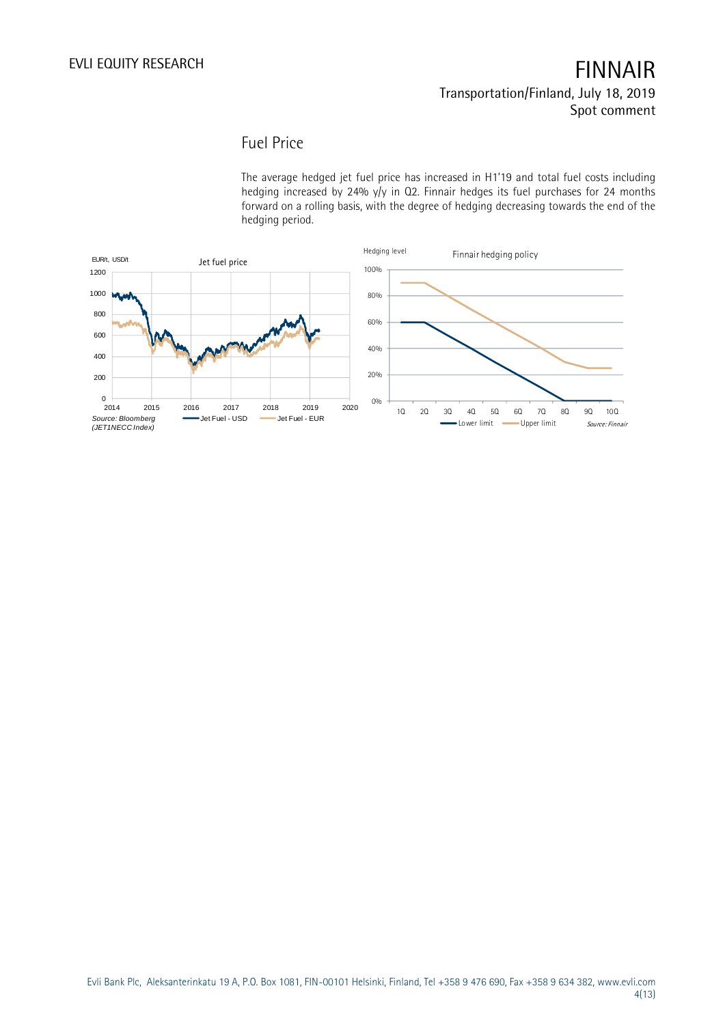### Fuel Price

The average hedged jet fuel price has increased in H1'19 and total fuel costs including hedging increased by 24% y/y in Q2. Finnair hedges its fuel purchases for 24 months forward on a rolling basis, with the degree of hedging decreasing towards the end of the hedging period.

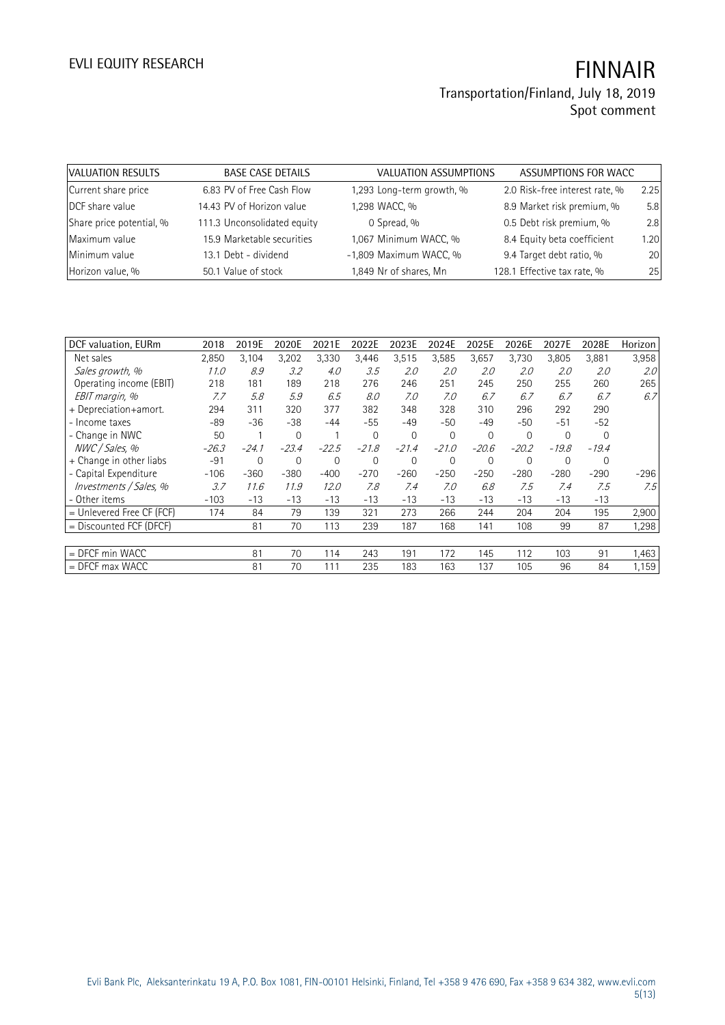| VALUATION RESULTS        | <b>BASE CASE DETAILS</b>    | VALUATION ASSUMPTIONS     | ASSUMPTIONS FOR WACC           |      |
|--------------------------|-----------------------------|---------------------------|--------------------------------|------|
| Current share price      | 6.83 PV of Free Cash Flow   | 1,293 Long-term growth, % | 2.0 Risk-free interest rate, % | 2.25 |
| DCF share value          | 14.43 PV of Horizon value   | 1,298 WACC, %             | 8.9 Market risk premium, %     | 5.8  |
| Share price potential, % | 111.3 Unconsolidated equity | 0 Spread, %               | 0.5 Debt risk premium, %       | 2.8  |
| Maximum value            | 15.9 Marketable securities  | 1,067 Minimum WACC, %     | 8.4 Equity beta coefficient    | 1.20 |
| Minimum value            | 13.1 Debt - dividend        | -1,809 Maximum WACC, %    | 9.4 Target debt ratio, %       | 20   |
| Horizon value, %         | 50.1 Value of stock         | 1,849 Nr of shares, Mn    | 128.1 Effective tax rate, %    | 25   |

| DCF valuation, EURm         | 2018    | 2019E   | 2020E       | 2021E   | 2022E    | 2023E          | 2024E       | 2025E       | 2026E       | 2027E    | 2028E       | Horizon |
|-----------------------------|---------|---------|-------------|---------|----------|----------------|-------------|-------------|-------------|----------|-------------|---------|
| Net sales                   | 2,850   | 3,104   | 3,202       | 3,330   | 3,446    | 3,515          | 3,585       | 3,657       | 3,730       | 3,805    | 3,881       | 3,958   |
| Sales growth, %             | 11.0    | 8.9     | 3.2         | 4.0     | 3.5      | 2.0            | 2.0         | 2.0         | 2.0         | 2.0      | 2.0         | 2.0     |
| Operating income (EBIT)     | 218     | 181     | 189         | 218     | 276      | 246            | 251         | 245         | 250         | 255      | 260         | 265     |
| EBIT margin, %              | 7.7     | 5.8     | 5.9         | 6.5     | 8.0      | 7.0            | 7.0         | 6.7         | 6.7         | 6.7      | 6.7         | 6.7     |
| + Depreciation+amort.       | 294     | 311     | 320         | 377     | 382      | 348            | 328         | 310         | 296         | 292      | 290         |         |
| - Income taxes              | $-89$   | $-36$   | $-38$       | $-44$   | $-55$    | $-49$          | $-50$       | $-49$       | $-50$       | $-51$    | $-52$       |         |
| - Change in NWC             | 50      |         | $\mathbf 0$ |         | $\Omega$ | $\overline{0}$ | $\mathbf 0$ | $\mathbf 0$ | $\mathbf 0$ | $\Omega$ | $\Omega$    |         |
| NWC / Sales. %              | $-26.3$ | $-24.1$ | $-23.4$     | $-22.5$ | $-21.8$  | $-21.4$        | $-21.0$     | $-20.6$     | $-20.2$     | $-19.8$  | $-19.4$     |         |
| + Change in other liabs     | $-91$   | 0       | 0           | 0       | $\Omega$ | $\overline{0}$ | $\mathbf 0$ | $\mathbf 0$ | $\mathbf 0$ | 0        | $\mathbf 0$ |         |
| - Capital Expenditure       | $-106$  | $-360$  | $-380$      | $-400$  | $-270$   | $-260$         | $-250$      | $-250$      | $-280$      | $-280$   | $-290$      | -296    |
| Investments / Sales, %      | 3.7     | 11.6    | 11.9        | 12.0    | 7.8      | 7.4            | 7.0         | 6.8         | 7.5         | 7.4      | 7.5         | 7.5     |
| - Other items               | $-103$  | $-13$   | $-13$       | $-13$   | $-13$    | $-13$          | $-13$       | $-13$       | $-13$       | $-13$    | $-13$       |         |
| $=$ Unlevered Free CF (FCF) | 174     | 84      | 79          | 139     | 321      | 273            | 266         | 244         | 204         | 204      | 195         | 2,900   |
| $=$ Discounted FCF (DFCF)   |         | 81      | 70          | 113     | 239      | 187            | 168         | 141         | 108         | 99       | 87          | 1,298   |
|                             |         |         |             |         |          |                |             |             |             |          |             |         |
| $=$ DFCF min WACC           |         | 81      | 70          | 114     | 243      | 191            | 172         | 145         | 112         | 103      | 91          | 1,463   |
| $=$ DFCF max WACC           |         | 81      | 70          | 111     | 235      | 183            | 163         | 137         | 105         | 96       | 84          | 1,159   |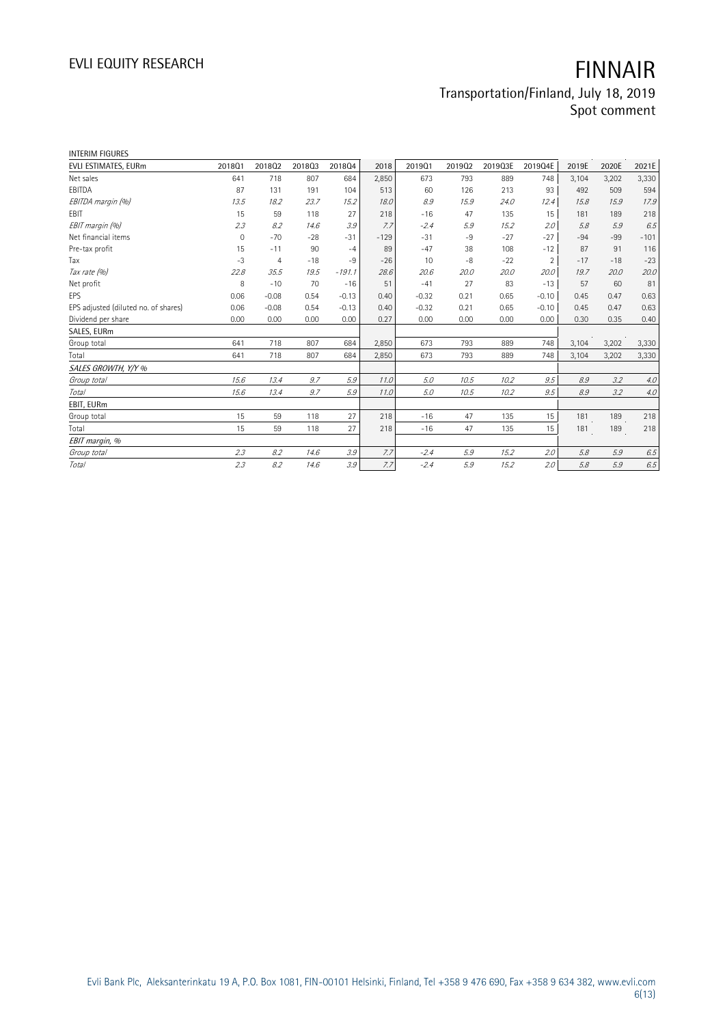| <b>INTERIM FIGURES</b>               |                |                |        |          |        |         |        |         |         |       |       |        |
|--------------------------------------|----------------|----------------|--------|----------|--------|---------|--------|---------|---------|-------|-------|--------|
| EVLI ESTIMATES, EURm                 | 201801         | 201802         | 201803 | 201804   | 2018   | 201901  | 201902 | 2019Q3E | 2019Q4E | 2019E | 2020E | 2021E  |
| Net sales                            | 641            | 718            | 807    | 684      | 2,850  | 673     | 793    | 889     | 748     | 3,104 | 3,202 | 3,330  |
| EBITDA                               | 87             | 131            | 191    | 104      | 513    | 60      | 126    | 213     | 93      | 492   | 509   | 594    |
| EBITDA margin (%)                    | 13.5           | 18.2           | 23.7   | 15.2     | 18.0   | 8.9     | 15.9   | 24.0    | 12.4    | 15.8  | 15.9  | 17.9   |
| EBIT                                 | 15             | 59             | 118    | 27       | 218    | $-16$   | 47     | 135     | 15      | 181   | 189   | 218    |
| EBIT margin (%)                      | 2.3            | 8.2            | 14.6   | 3.9      | 7.7    | $-2.4$  | 5.9    | 15.2    | 2.0     | 5.8   | 5.9   | 6.5    |
| Net financial items                  | $\overline{0}$ | $-70$          | $-28$  | $-31$    | $-129$ | $-31$   | $-9$   | $-27$   | $-27$   | $-94$ | $-99$ | $-101$ |
| Pre-tax profit                       | 15             | $-11$          | 90     | $-4$     | 89     | $-47$   | 38     | 108     | $-12$   | 87    | 91    | 116    |
| Tax                                  | $-3$           | $\overline{4}$ | $-18$  | $-9$     | $-26$  | 10      | -8     | $-22$   | 2       | $-17$ | $-18$ | $-23$  |
| Tax rate (%)                         | 22.8           | 35.5           | 19.5   | $-191.1$ | 28.6   | 20.6    | 20.0   | 20.0    | 20.0    | 19.7  | 20.0  | 20.0   |
| Net profit                           | 8              | $-10$          | 70     | $-16$    | 51     | $-41$   | 27     | 83      | $-13$   | 57    | 60    | 81     |
| EPS                                  | 0.06           | $-0.08$        | 0.54   | $-0.13$  | 0.40   | $-0.32$ | 0.21   | 0.65    | $-0.10$ | 0.45  | 0.47  | 0.63   |
| EPS adjusted (diluted no. of shares) | 0.06           | $-0.08$        | 0.54   | $-0.13$  | 0.40   | $-0.32$ | 0.21   | 0.65    | $-0.10$ | 0.45  | 0.47  | 0.63   |
| Dividend per share                   | 0.00           | 0.00           | 0.00   | 0.00     | 0.27   | 0.00    | 0.00   | 0.00    | 0.00    | 0.30  | 0.35  | 0.40   |
| SALES, EURm                          |                |                |        |          |        |         |        |         |         |       |       |        |
| Group total                          | 641            | 718            | 807    | 684      | 2,850  | 673     | 793    | 889     | 748     | 3,104 | 3,202 | 3,330  |
| Total                                | 641            | 718            | 807    | 684      | 2,850  | 673     | 793    | 889     | 748     | 3,104 | 3,202 | 3,330  |
| SALES GROWTH, Y/Y %                  |                |                |        |          |        |         |        |         |         |       |       |        |
| Group total                          | 15.6           | 13.4           | 9.7    | 5.9      | 11.0   | 5.0     | 10.5   | 10.2    | 9.5     | 8.9   | 3.2   | 4.0    |
| <b>Total</b>                         | 15.6           | 13.4           | 9.7    | 5.9      | 11.0   | 5.0     | 10.5   | 10.2    | 9.5     | 8.9   | 3.2   | $4.0$  |
| EBIT, EURm                           |                |                |        |          |        |         |        |         |         |       |       |        |
| Group total                          | 15             | 59             | 118    | 27       | 218    | $-16$   | 47     | 135     | 15      | 181   | 189   | 218    |
| Total                                | 15             | 59             | 118    | 27       | 218    | $-16$   | 47     | 135     | 15      | 181   | 189   | 218    |
| EBIT margin, %                       |                |                |        |          |        |         |        |         |         |       |       |        |
| Group total                          | 2.3            | 8.2            | 14.6   | 3.9      | 7.7    | $-2.4$  | 5.9    | 15.2    | 2.0     | 5.8   | 5.9   | 6.5    |
| Total                                | 2.3            | 8.2            | 14.6   | 3.9      | 7.7    | $-2.4$  | 5.9    | 15.2    | 2.0     | 5.8   | 5.9   | 6.5    |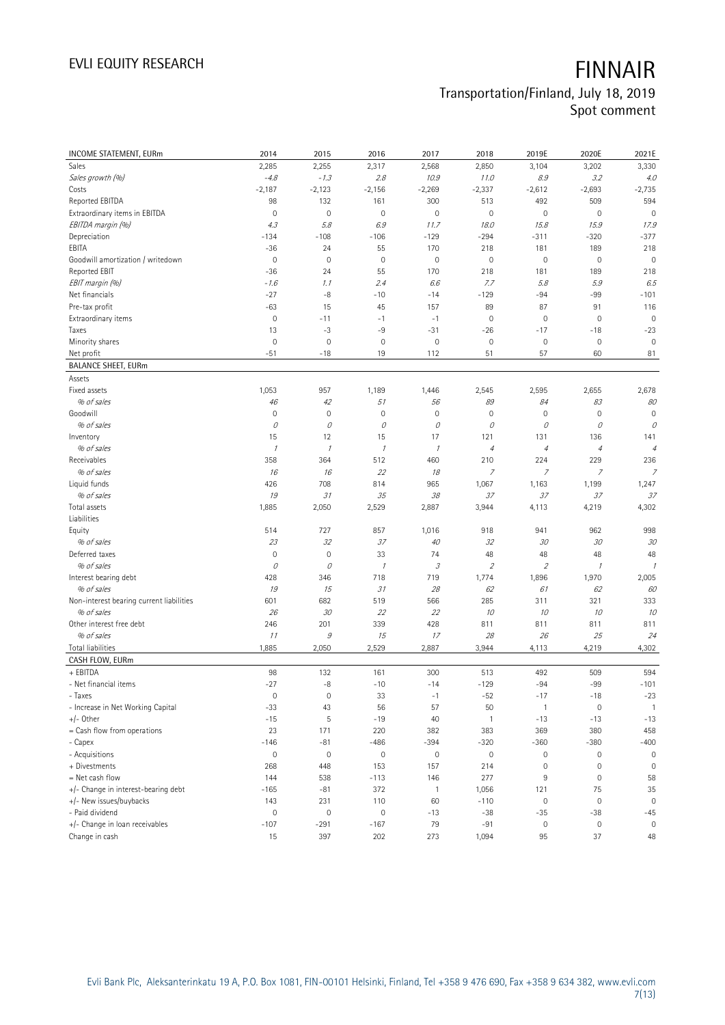| INCOME STATEMENT, EURm                   | 2014                          | 2015                 | 2016                          | 2017                  | 2018                  | 2019E                     | 2020E                 | 2021E          |
|------------------------------------------|-------------------------------|----------------------|-------------------------------|-----------------------|-----------------------|---------------------------|-----------------------|----------------|
| Sales                                    | 2,285                         | 2,255                | 2,317                         | 2,568                 | 2,850                 | 3,104                     | 3,202                 | 3,330          |
| Sales growth (%)                         | $-4.8$                        | $-1.3$               | 2.8                           | 10.9                  | 11.0                  | $\mathcal{S}.\mathcal{G}$ | 3.2                   | 4.0            |
| Costs                                    | $-2,187$                      | $-2,123$             | $-2,156$                      | $-2,269$              | $-2,337$              | $-2,612$                  | $-2,693$              | $-2,735$       |
| Reported EBITDA                          | 98                            | 132                  | 161                           | 300                   | 513                   | 492                       | 509                   | 594            |
| Extraordinary items in EBITDA            | $\mathbf 0$                   | $\mathbf 0$          | 0                             | $\mathbf 0$           | $\mathbf 0$           | $\mathsf{O}\xspace$       | $\mathbf 0$           | $\mathbf 0$    |
| EBITDA margin (%)                        | 4.3                           | 5.8                  | 6.9                           | 11.7                  | 18.0                  | 15.8                      | 15.9                  | 17.9           |
| Depreciation                             | $-134$                        | $-108$               | $-106$                        | $-129$                | $-294$                | $-311$                    | $-320$                | $-377$         |
| EBITA                                    | $-36$                         | 24                   | 55                            | 170                   | 218                   | 181                       | 189                   | 218            |
| Goodwill amortization / writedown        | $\mathbf 0$                   | $\mathbf 0$          | $\mathsf{O}\xspace$           | $\mathbf 0$           | $\mathbf 0$           | $\mathsf{O}\xspace$       | $\mathbf 0$           | $\mathbf 0$    |
| Reported EBIT                            | $-36$                         | 24                   | 55                            | 170                   | 218                   | 181                       | 189                   | 218            |
| EBIT margin (%)                          | $-1.6$                        | 1.1                  | 2.4                           | 6.6                   | 7.7                   | 5.8                       | 5.9                   | 6.5            |
| Net financials                           | $-27$                         | $-8$                 | $-10$                         | $-14$                 | $-129$                | $-94$                     | -99                   | $-101$         |
| Pre-tax profit                           | $-63$                         | 15                   | 45                            | 157                   | 89                    | 87                        | 91                    | 116            |
| Extraordinary items                      | $\mathbf 0$                   | $-11$                | $-1$                          | $-1$                  | $\mathbf 0$           | $\mathsf{O}\xspace$       | $\mathbf 0$           | $\mathbf 0$    |
| Taxes                                    | 13                            | $-3$                 | $-9$                          | $-31$                 | $-26$                 | $-17$                     | $-18$                 | $-23$          |
| Minority shares                          | $\mathbf 0$                   | $\mathbf 0$          | $\mathbf 0$                   | $\mathbb O$           | $\mathbb O$           | $\mathbb O$               | $\mathbb O$           | $\mathbf 0$    |
| Net profit                               | $-51$                         | $-18$                | 19                            | 112                   | 51                    | 57                        | 60                    | 81             |
| <b>BALANCE SHEET, EURm</b>               |                               |                      |                               |                       |                       |                           |                       |                |
| Assets                                   |                               |                      |                               |                       |                       |                           |                       |                |
| Fixed assets                             | 1,053                         | 957                  | 1,189                         | 1,446                 | 2,545                 | 2,595                     | 2,655                 | 2,678          |
| % of sales                               | 46                            | 42                   | 51                            | 56                    | 89                    | 84                        | 83                    | 80             |
| Goodwill                                 | $\mathbf 0$                   | $\mathbf 0$          | 0                             | $\mathbf 0$           | $\mathbf 0$           | $\mathsf{O}\xspace$       | $\mathbf 0$           | $\mathbf 0$    |
| % of sales                               | 0                             | 0                    | 0                             | 0                     | 0                     | 0                         | 0                     | 0              |
| Inventory                                | 15                            | 12                   | 15                            | 17                    | 121                   | 131                       | 136                   | 141            |
| % of sales                               | $\mathcal{I}$                 | $\mathcal I$         | $\mathcal I$                  | $\mathcal{I}$         | $\overline{4}$        | $\overline{4}$            | $\overline{4}$        | $\overline{4}$ |
| Receivables                              | 358                           | 364                  | 512                           | 460                   | 210                   | 224                       | 229                   | 236            |
| % of sales                               | 16                            | 16                   | 22                            | 18                    | 7                     | $\overline{z}$            | 7                     | $\overline{z}$ |
| Liquid funds                             | 426                           | 708                  | 814                           | 965                   | 1,067                 | 1,163                     | 1,199                 | 1,247          |
| % of sales                               | 19                            | 31                   | 35                            | 38                    | 37                    | 37                        | 37                    | 37             |
| Total assets                             | 1,885                         | 2,050                | 2,529                         | 2,887                 | 3,944                 | 4,113                     | 4,219                 | 4,302          |
| Liabilities                              |                               |                      |                               |                       |                       |                           |                       |                |
| Equity                                   | 514                           | 727                  | 857                           | 1,016                 | 918                   | 941                       | 962                   | 998            |
| % of sales                               | 23                            | 32                   | 37                            | 40                    | 32                    | 30                        | 30                    | 30             |
| Deferred taxes                           | $\mathbf 0$                   | $\mathbf 0$          | 33                            | 74                    | 48                    | 48                        | 48                    | 48             |
| % of sales                               | 0                             | 0                    | $\mathcal I$                  | 3                     | $\mathfrak z$         | $\overline{2}$            | $\cal I$              | $\mathcal{I}$  |
| Interest bearing debt                    | 428                           | 346                  | 718                           | 719                   | 1,774                 | 1,896                     | 1,970                 | 2,005          |
| % of sales                               | 19                            | 15                   | 31                            | 28                    | 62                    | 61                        | 62                    | 60             |
| Non-interest bearing current liabilities | 601                           | 682                  | 519                           | 566                   | 285                   | 311                       | 321                   | 333            |
| % of sales                               | 26                            | 30                   | 22                            | 22                    | 10                    | 10                        | 10                    | 10             |
| Other interest free debt                 | 246                           | 201                  | 339                           | 428                   | 811                   | 811                       | 811                   | 811            |
| % of sales                               | 11                            | $\mathcal G$         | 15                            | 17                    | 28                    | 26                        | 25                    | 24             |
| <b>Total liabilities</b>                 | 1,885                         | 2,050                | 2,529                         | 2,887                 | 3,944                 | 4,113                     | 4,219                 | 4,302          |
| CASH FLOW, EURm                          |                               |                      |                               |                       |                       |                           |                       |                |
| + EBITDA                                 | 98                            | 132                  | 161                           | 300                   | 513                   | 492                       | 509                   | 594            |
| - Net financial items                    | $-27$                         | $-8$                 | $-10$                         | $-14$                 | $-129$                | $-94$                     | $-99$                 | $-101$         |
| - Taxes                                  | $\mathsf{O}\xspace$           | $\mathsf{O}\xspace$  | 33                            | $-1$                  | $-52$                 | $-17$                     | $-18$                 | $-23$          |
| - Increase in Net Working Capital        | $-33$                         | 43                   | 56                            | 57                    | 50                    | $\mathbf{1}$              | $\mathbb O$           | $\overline{1}$ |
| $+/-$ Other                              | $-15$                         | 5                    | $-19$                         | 40                    | $\mathbf{1}$          | $-13$                     | $-13$                 | $-13$          |
|                                          | 23                            | 171                  | 220                           | 382                   | 383                   | 369                       | 380                   | 458            |
| = Cash flow from operations              |                               |                      |                               |                       |                       |                           |                       |                |
| - Capex<br>- Acquisitions                | $-146$<br>$\mathsf{O}\xspace$ | $-81$<br>$\mathbf 0$ | $-486$<br>$\mathsf{O}\xspace$ | $-394$<br>$\mathbf 0$ | $-320$<br>$\mathbb O$ | $-360$<br>0               | $-380$<br>$\mathbf 0$ | $-400$<br>0    |
| + Divestments                            | 268                           | 448                  | 153                           | 157                   | 214                   | 0                         | $\mathbf 0$           | $\mathbf 0$    |
|                                          |                               |                      |                               |                       |                       |                           |                       |                |
| = Net cash flow                          | 144                           | 538                  | $-113$                        | 146                   | 277                   | 9                         | $\mathbb O$           | 58             |
| +/- Change in interest-bearing debt      | $-165$                        | $-81$                | 372                           | $\mathbf{1}$          | 1,056                 | 121                       | 75                    | 35             |
| +/- New issues/buybacks                  | 143                           | 231                  | 110                           | 60                    | $-110$                | $\mathbb O$               | $\mathbb O$           | $\mathbf 0$    |
| - Paid dividend                          | $\mathsf{O}\xspace$           | $\mathbf 0$          | 0                             | $-13$                 | $-38$                 | $-35$                     | $-38$                 | $-45$          |
| +/- Change in loan receivables           | $-107$                        | $-291$               | $-167$                        | 79                    | $-91$                 | $\mathsf{O}\xspace$       | $\mathbb O$           | 0              |
| Change in cash                           | $15\,$                        | 397                  | 202                           | 273                   | 1,094                 | 95                        | 37                    | 48             |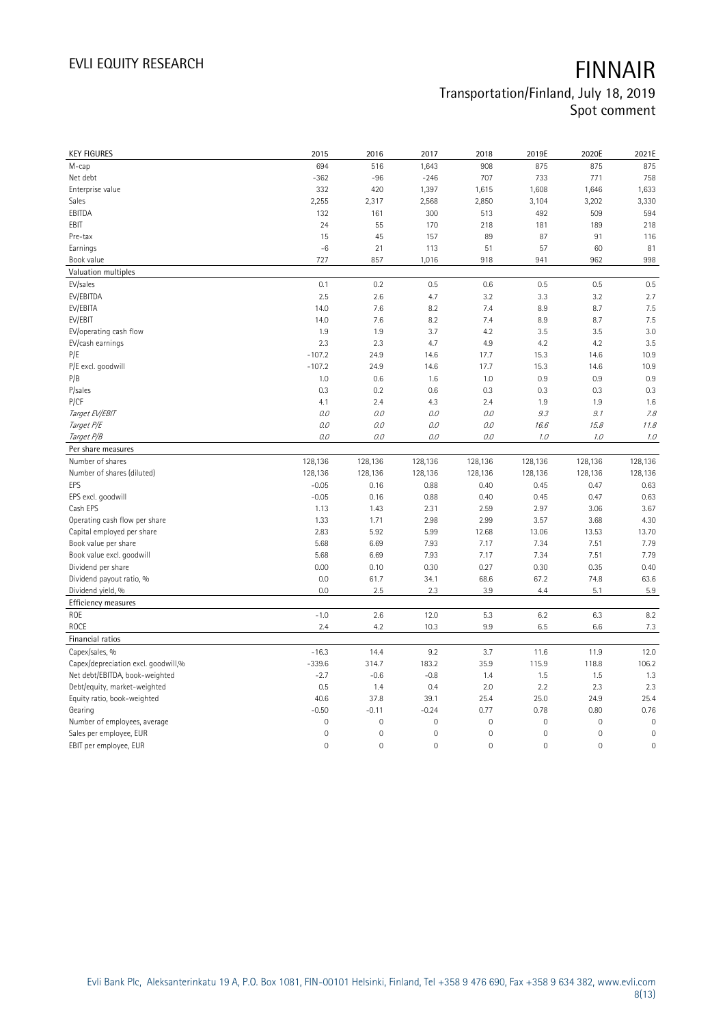| <b>KEY FIGURES</b>                                             | 2015          | 2016                | 2017                | 2018                | 2019E               | 2020E       | 2021E       |
|----------------------------------------------------------------|---------------|---------------------|---------------------|---------------------|---------------------|-------------|-------------|
| M-cap                                                          | 694           | 516                 | 1,643               | 908                 | 875                 | 875         | 875         |
| Net debt                                                       | $-362$        | $-96$               | $-246$              | 707                 | 733                 | 771         | 758         |
| Enterprise value                                               | 332           | 420                 | 1,397               | 1,615               | 1,608               | 1,646       | 1,633       |
| Sales                                                          | 2,255         | 2,317               | 2,568               | 2,850               | 3,104               | 3,202       | 3,330       |
| EBITDA                                                         | 132           | 161                 | 300                 | 513                 | 492                 | 509         | 594         |
| EBIT                                                           | 24            | 55                  | 170                 | 218                 | 181                 | 189         | 218         |
| Pre-tax                                                        | 15            | 45                  | 157                 | 89                  | 87                  | 91          | 116         |
| Earnings                                                       | $-6$          | 21                  | 113                 | 51                  | 57                  | 60          | 81          |
| Book value                                                     | 727           | 857                 | 1,016               | 918                 | 941                 | 962         | 998         |
| Valuation multiples                                            |               |                     |                     |                     |                     |             |             |
| EV/sales                                                       | 0.1           | 0.2                 | 0.5                 | 0.6                 | 0.5                 | 0.5         | 0.5         |
| EV/EBITDA                                                      | 2.5           | 2.6                 | 4.7                 | 3.2                 | 3.3                 | 3.2         | 2.7         |
| EV/EBITA                                                       | 14.0          | 7.6                 | 8.2                 | 7.4                 | 8.9                 | 8.7         | 7.5         |
| EV/EBIT                                                        | 14.0          | 7.6                 | 8.2                 | 7.4                 | 8.9                 | 8.7         | 7.5         |
| EV/operating cash flow                                         | 1.9           | 1.9                 | 3.7                 | 4.2                 | 3.5                 | 3.5         | 3.0         |
| EV/cash earnings                                               | 2.3           | 2.3                 | 4.7                 | 4.9                 | 4.2                 | 4.2         | 3.5         |
| P/E                                                            | $-107.2$      | 24.9                | 14.6                | 17.7                | 15.3                | 14.6        | 10.9        |
| P/E excl. goodwill                                             | $-107.2$      | 24.9                | 14.6                | 17.7                | 15.3                | 14.6        | 10.9        |
| P/B                                                            | 1.0           | 0.6                 | 1.6                 | 1.0                 | 0.9                 | 0.9         | 0.9         |
| P/sales                                                        | 0.3           | 0.2                 | 0.6                 | 0.3                 | 0.3                 | 0.3         | 0.3         |
| P/CF                                                           | 4.1           | 2.4                 | 4.3                 | 2.4                 | 1.9                 | 1.9         | 1.6         |
| Target EV/EBIT                                                 | 0.0           | 0.0                 | 0.0                 | 0.0                 | 9.3                 | 9.1         | 7.8         |
| Target P/E                                                     | 0.0           | 0.0                 | 0.0                 | O.O                 | 16.6                | 15.8        | 11.8        |
| Target P/B                                                     | 0.0           | 0.0                 | 0.0                 | 0.0                 | 1.0                 | 1.0         | $7.0\,$     |
| Per share measures                                             |               |                     |                     |                     |                     |             |             |
|                                                                |               |                     |                     |                     |                     |             |             |
|                                                                |               |                     |                     |                     |                     |             |             |
| Number of shares                                               | 128,136       | 128,136             | 128,136             | 128,136             | 128,136             | 128,136     | 128,136     |
| Number of shares (diluted)                                     | 128,136       | 128,136             | 128,136             | 128,136             | 128,136             | 128,136     | 128,136     |
| EPS                                                            | $-0.05$       | 0.16                | 0.88                | 0.40                | 0.45                | 0.47        | 0.63        |
| EPS excl. goodwill                                             | $-0.05$       | 0.16                | 0.88                | 0.40                | 0.45                | 0.47        | 0.63        |
| Cash EPS                                                       | 1.13          | 1.43                | 2.31                | 2.59                | 2.97                | 3.06        | 3.67        |
| Operating cash flow per share                                  | 1.33          | 1.71                | 2.98                | 2.99                | 3.57                | 3.68        | 4.30        |
| Capital employed per share                                     | 2.83          | 5.92                | 5.99                | 12.68               | 13.06               | 13.53       | 13.70       |
| Book value per share                                           | 5.68          | 6.69                | 7.93                | 7.17                | 7.34                | 7.51        | 7.79        |
| Book value excl. goodwill                                      | 5.68          | 6.69                | 7.93                | 7.17                | 7.34                | 7.51        | 7.79        |
| Dividend per share                                             | 0.00          | 0.10                | 0.30                | 0.27                | 0.30                | 0.35        | 0.40        |
| Dividend payout ratio, %                                       | 0.0           | 61.7                | 34.1                | 68.6                | 67.2                | 74.8        | 63.6        |
| Dividend yield, %                                              | 0.0           | 2.5                 | 2.3                 | 3.9                 | 4.4                 | 5.1         | 5.9         |
| Efficiency measures                                            |               |                     |                     |                     |                     |             |             |
| ROE<br>ROCE                                                    | $-1.0$<br>2.4 | 2.6<br>4.2          | 12.0<br>10.3        | 5.3<br>9.9          | 6.2<br>6.5          | 6.3<br>6.6  | 8.2         |
| Financial ratios                                               |               |                     |                     |                     |                     |             | 7.3         |
| Capex/sales, %                                                 | $-16.3$       | 14.4                | 9.2                 | 3.7                 | 11.6                | 11.9        | 12.0        |
|                                                                | $-339.6$      |                     | 183.2               | 35.9                | 115.9               | 118.8       |             |
| Capex/depreciation excl. goodwill,%                            |               | 314.7<br>$-0.6$     | $-0.8$              | 1.4                 |                     | 1.5         | 106.2       |
| Net debt/EBITDA, book-weighted<br>Debt/equity, market-weighted | $-2.7$<br>0.5 | 1.4                 | 0.4                 | 2.0                 | 1.5<br>2.2          | 2.3         | 1.3<br>2.3  |
|                                                                | 40.6          | 37.8                | 39.1                | 25.4                | 25.0                | 24.9        | 25.4        |
| Equity ratio, book-weighted<br>Gearing                         | $-0.50$       | $-0.11$             | $-0.24$             | 0.77                | 0.78                | 0.80        | 0.76        |
| Number of employees, average                                   | $\mathbf 0$   | $\mathsf{O}\xspace$ | $\mathbf 0$         | $\mathsf{O}\xspace$ | $\mathsf{O}\xspace$ | $\mathbf 0$ | $\mathbf 0$ |
|                                                                | $\mathbf 0$   | $\mathbf 0$         | $\mathbf 0$         | $\mathsf{O}\xspace$ | $\mathsf{O}\xspace$ | $\mathbf 0$ | $\mathbf 0$ |
| Sales per employee, EUR<br>EBIT per employee, EUR              | $\mathbf 0$   | 0                   | $\mathsf{O}\xspace$ | $\mathsf{O}\xspace$ | $\mathsf{O}\xspace$ | $\mathbf 0$ | $\mathbf 0$ |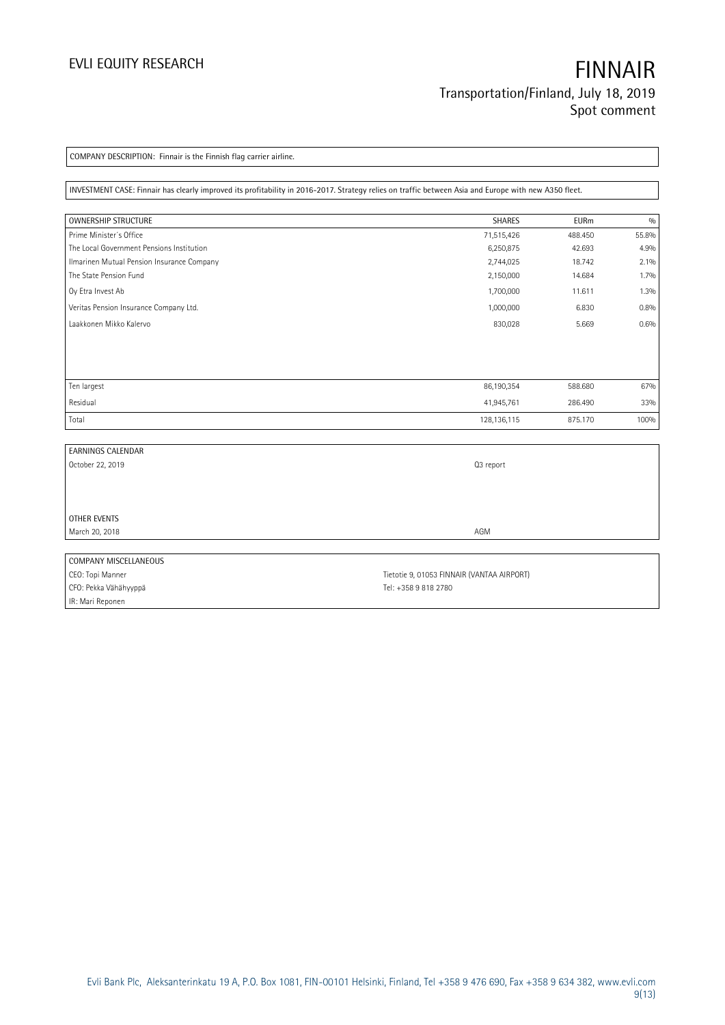COMPANY DESCRIPTION: Finnair is the Finnish flag carrier airline.

INVESTMENT CASE: Finnair has clearly improved its profitability in 2016-2017. Strategy relies on traffic between Asia and Europe with new A350 fleet.

| <b>OWNERSHIP STRUCTURE</b>                 | SHARES        | <b>EURm</b> | 0/0   |
|--------------------------------------------|---------------|-------------|-------|
| Prime Minister's Office                    | 71,515,426    | 488.450     | 55.8% |
| The Local Government Pensions Institution  | 6,250,875     | 42.693      | 4.9%  |
| Ilmarinen Mutual Pension Insurance Company | 2,744,025     | 18.742      | 2.1%  |
| The State Pension Fund                     | 2,150,000     | 14.684      | 1.7%  |
| Oy Etra Invest Ab                          | 1,700,000     | 11.611      | 1.3%  |
| Veritas Pension Insurance Company Ltd.     | 1,000,000     | 6.830       | 0.8%  |
| Laakkonen Mikko Kalervo                    | 830,028       | 5.669       | 0.6%  |
|                                            |               |             |       |
| Ten largest                                | 86,190,354    | 588.680     | 67%   |
| Residual                                   | 41,945,761    | 286.490     | 33%   |
| Total                                      | 128, 136, 115 | 875.170     | 100%  |

| <b>EARNINGS CALENDAR</b> |                                            |
|--------------------------|--------------------------------------------|
| October 22, 2019         | Q3 report                                  |
|                          |                                            |
|                          |                                            |
|                          |                                            |
| OTHER EVENTS             |                                            |
| March 20, 2018           | AGM                                        |
|                          |                                            |
| COMPANY MISCELLANEOUS    |                                            |
| CEO: Topi Manner         | Tietotie 9, 01053 FINNAIR (VANTAA AIRPORT) |
| CFO: Pekka Vähähyyppä    | Tel: +358 9 818 2780                       |

IR: Mari Reponen

Evli Bank Plc, Aleksanterinkatu 19 A, P.O. Box 1081, FIN-00101 Helsinki, Finland, Tel +358 9 476 690, Fax +358 9 634 382, [www.evli.com](http://www.evli.com/) 9(13)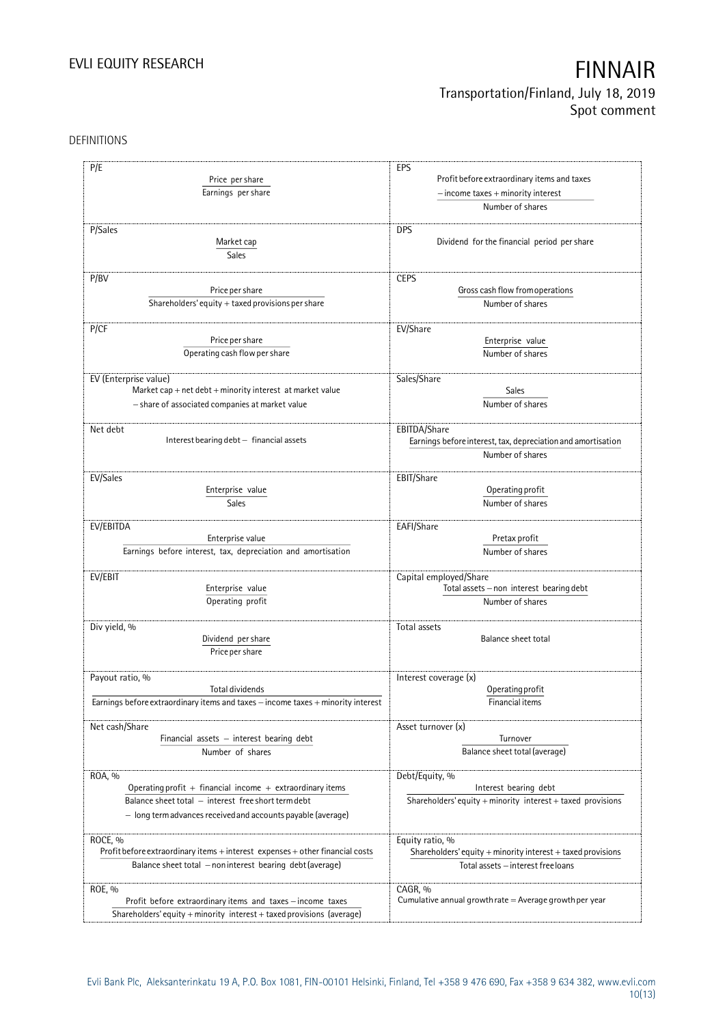### DEFINITIONS

| P/E                                                                                      | EPS                                                             |
|------------------------------------------------------------------------------------------|-----------------------------------------------------------------|
| Price per share                                                                          | Profit before extraordinary items and taxes                     |
| Earnings per share                                                                       | $-$ income taxes $+$ minority interest                          |
|                                                                                          | Number of shares                                                |
| P/Sales                                                                                  | <b>DPS</b>                                                      |
| Market cap                                                                               | Dividend for the financial period per share                     |
|                                                                                          |                                                                 |
| Sales                                                                                    |                                                                 |
| P/BV                                                                                     | <b>CEPS</b>                                                     |
| Price per share                                                                          | Gross cash flow from operations                                 |
| Shareholders' equity $+$ taxed provisions per share                                      | Number of shares                                                |
|                                                                                          |                                                                 |
| P/CF                                                                                     | EV/Share                                                        |
| Price per share                                                                          | Enterprise value                                                |
| Operating cash flow per share                                                            | Number of shares                                                |
|                                                                                          |                                                                 |
| EV (Enterprise value)                                                                    | Sales/Share                                                     |
| Market cap + net debt + minority interest at market value                                | Sales                                                           |
| - share of associated companies at market value                                          | Number of shares                                                |
|                                                                                          |                                                                 |
| Net debt                                                                                 | EBITDA/Share                                                    |
| Interest bearing debt - financial assets                                                 | Earnings before interest, tax, depreciation and amortisation    |
|                                                                                          | Number of shares                                                |
|                                                                                          |                                                                 |
| EV/Sales                                                                                 | EBIT/Share                                                      |
| Enterprise value                                                                         | Operating profit                                                |
| Sales                                                                                    | Number of shares                                                |
| EV/EBITDA                                                                                | EAFI/Share                                                      |
| Enterprise value                                                                         | Pretax profit                                                   |
| Earnings before interest, tax, depreciation and amortisation                             | Number of shares                                                |
|                                                                                          |                                                                 |
| EV/EBIT                                                                                  | Capital employed/Share                                          |
| Enterprise value                                                                         | Total assets - non interest bearing debt                        |
| Operating profit                                                                         | Number of shares                                                |
|                                                                                          |                                                                 |
| Div yield, %                                                                             | Total assets                                                    |
| Dividend per share                                                                       | <b>Balance sheet total</b>                                      |
| Price per share                                                                          |                                                                 |
|                                                                                          |                                                                 |
| Payout ratio, %                                                                          | Interest coverage (x)                                           |
| Total dividends                                                                          | Operating profit                                                |
| Earnings before extraordinary items and taxes - income taxes + minority interest         | Financial items                                                 |
|                                                                                          |                                                                 |
| Net cash/Share                                                                           | Asset turnover (x)                                              |
| Financial assets - interest bearing debt                                                 | Turnover                                                        |
| Number of shares                                                                         | Balance sheet total (average)                                   |
|                                                                                          |                                                                 |
| ROA, %<br>Operating profit $+$ financial income $+$ extraordinary items                  | Debt/Equity, %<br>Interest bearing debt                         |
| Balance sheet total - interest free short term debt                                      | Shareholders' equity + minority interest + taxed provisions     |
|                                                                                          |                                                                 |
| - long term advances received and accounts payable (average)                             |                                                                 |
|                                                                                          |                                                                 |
| ROCE, %<br>Profit before extraordinary items + interest expenses + other financial costs | Equity ratio, %                                                 |
|                                                                                          | Shareholders' equity $+$ minority interest $+$ taxed provisions |
| Balance sheet total - non interest bearing debt (average)                                | Total assets - interest free loans                              |
| ROE, %                                                                                   | CAGR, %                                                         |
| Profit before extraordinary items and taxes - income taxes                               | Cumulative annual growth rate $=$ Average growth per year       |
| Shareholders' equity + minority interest + taxed provisions (average)                    |                                                                 |
|                                                                                          |                                                                 |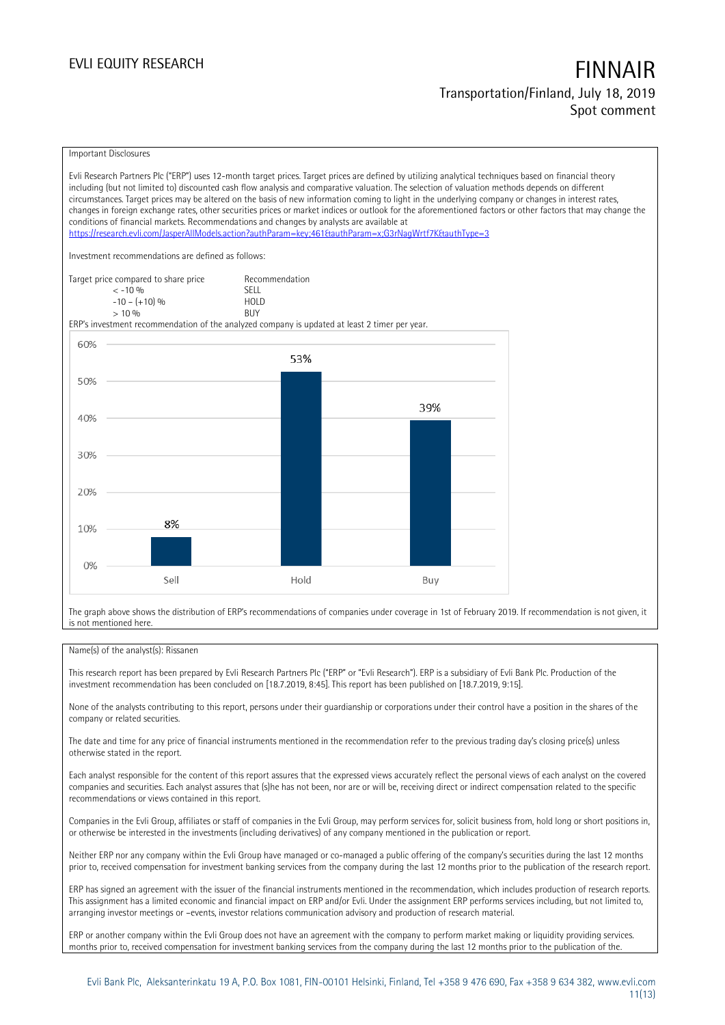### Important Disclosures

Evli Research Partners Plc ("ERP") uses 12-month target prices. Target prices are defined by utilizing analytical techniques based on financial theory including (but not limited to) discounted cash flow analysis and comparative valuation. The selection of valuation methods depends on different circumstances. Target prices may be altered on the basis of new information coming to light in the underlying company or changes in interest rates, changes in foreign exchange rates, other securities prices or market indices or outlook for the aforementioned factors or other factors that may change the conditions of financial markets. Recommendations and changes by analysts are available at <https://research.evli.com/JasperAllModels.action?authParam=key;461&authParam=x;G3rNagWrtf7K&authType=3> Investment recommendations are defined as follows: Target price compared to share price Recommendation<br>  $\leq -10\%$  $\langle 5, 10, 10 \rangle$  SELL<br> $\langle -10, 10, 10 \rangle$  SELL  $-10 - (+10) \%$  HOL<br>  $> 10 \%$  RIJY  $> 10\%$ ERP's investment recommendation of the analyzed company is updated at least 2 timer per year. 60% 53% 50% 39% 40% 30% 20% 8% 10%  $0%$ Sell Hold Buy

The graph above shows the distribution of ERP's recommendations of companies under coverage in 1st of February 2019. If recommendation is not given, it is not mentioned here.

### Name(s) of the analyst(s): Rissanen

This research report has been prepared by Evli Research Partners Plc ("ERP" or "Evli Research"). ERP is a subsidiary of Evli Bank Plc. Production of the investment recommendation has been concluded on [18.7.2019, 8:45]. This report has been published on [18.7.2019, 9:15].

None of the analysts contributing to this report, persons under their guardianship or corporations under their control have a position in the shares of the company or related securities.

The date and time for any price of financial instruments mentioned in the recommendation refer to the previous trading day's closing price(s) unless otherwise stated in the report.

Each analyst responsible for the content of this report assures that the expressed views accurately reflect the personal views of each analyst on the covered companies and securities. Each analyst assures that (s)he has not been, nor are or will be, receiving direct or indirect compensation related to the specific recommendations or views contained in this report.

Companies in the Evli Group, affiliates or staff of companies in the Evli Group, may perform services for, solicit business from, hold long or short positions in, or otherwise be interested in the investments (including derivatives) of any company mentioned in the publication or report.

Neither ERP nor any company within the Evli Group have managed or co-managed a public offering of the company's securities during the last 12 months prior to, received compensation for investment banking services from the company during the last 12 months prior to the publication of the research report.

ERP has signed an agreement with the issuer of the financial instruments mentioned in the recommendation, which includes production of research reports. This assignment has a limited economic and financial impact on ERP and/or Evli. Under the assignment ERP performs services including, but not limited to, arranging investor meetings or –events, investor relations communication advisory and production of research material.

ERP or another company within the Evli Group does not have an agreement with the company to perform market making or liquidity providing services. months prior to, received compensation for investment banking services from the company during the last 12 months prior to the publication of the.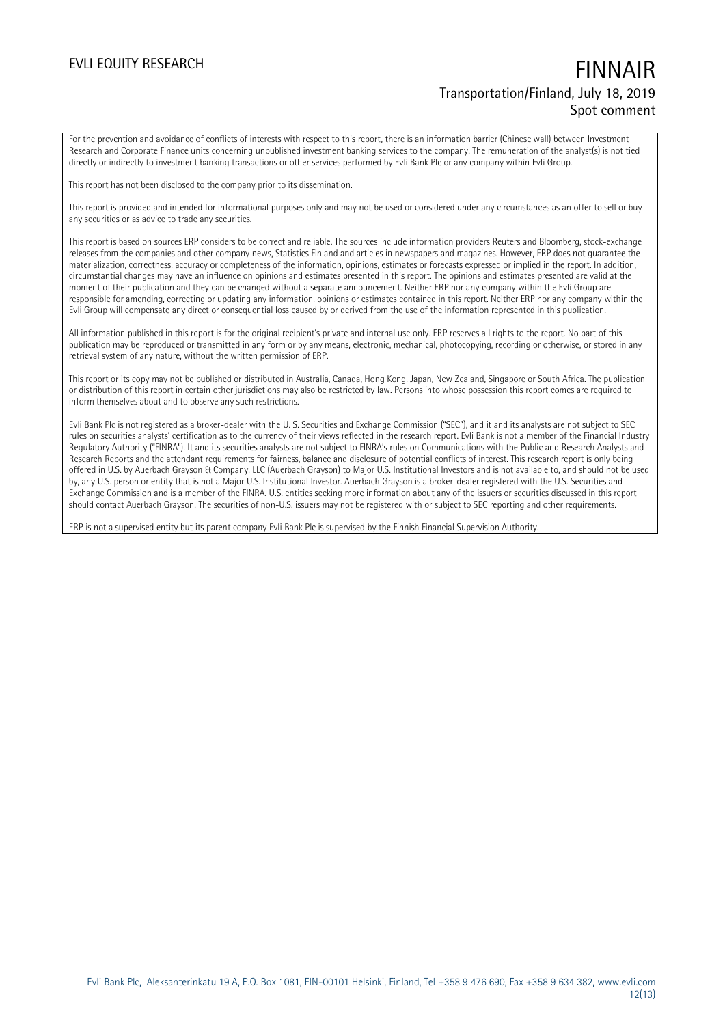For the prevention and avoidance of conflicts of interests with respect to this report, there is an information barrier (Chinese wall) between Investment Research and Corporate Finance units concerning unpublished investment banking services to the company. The remuneration of the analyst(s) is not tied directly or indirectly to investment banking transactions or other services performed by Evli Bank Plc or any company within Evli Group.

This report has not been disclosed to the company prior to its dissemination.

This report is provided and intended for informational purposes only and may not be used or considered under any circumstances as an offer to sell or buy any securities or as advice to trade any securities.

This report is based on sources ERP considers to be correct and reliable. The sources include information providers Reuters and Bloomberg, stock-exchange releases from the companies and other company news, Statistics Finland and articles in newspapers and magazines. However, ERP does not guarantee the materialization, correctness, accuracy or completeness of the information, opinions, estimates or forecasts expressed or implied in the report. In addition, circumstantial changes may have an influence on opinions and estimates presented in this report. The opinions and estimates presented are valid at the moment of their publication and they can be changed without a separate announcement. Neither ERP nor any company within the Evli Group are responsible for amending, correcting or updating any information, opinions or estimates contained in this report. Neither ERP nor any company within the Evli Group will compensate any direct or consequential loss caused by or derived from the use of the information represented in this publication.

All information published in this report is for the original recipient's private and internal use only. ERP reserves all rights to the report. No part of this publication may be reproduced or transmitted in any form or by any means, electronic, mechanical, photocopying, recording or otherwise, or stored in any retrieval system of any nature, without the written permission of ERP.

This report or its copy may not be published or distributed in Australia, Canada, Hong Kong, Japan, New Zealand, Singapore or South Africa. The publication or distribution of this report in certain other jurisdictions may also be restricted by law. Persons into whose possession this report comes are required to inform themselves about and to observe any such restrictions.

Evli Bank Plc is not registered as a broker-dealer with the U. S. Securities and Exchange Commission ("SEC"), and it and its analysts are not subject to SEC rules on securities analysts' certification as to the currency of their views reflected in the research report. Evli Bank is not a member of the Financial Industry Regulatory Authority ("FINRA"). It and its securities analysts are not subject to FINRA's rules on Communications with the Public and Research Analysts and Research Reports and the attendant requirements for fairness, balance and disclosure of potential conflicts of interest. This research report is only being offered in U.S. by Auerbach Grayson & Company, LLC (Auerbach Grayson) to Major U.S. Institutional Investors and is not available to, and should not be used by, any U.S. person or entity that is not a Major U.S. Institutional Investor. Auerbach Grayson is a broker-dealer registered with the U.S. Securities and Exchange Commission and is a member of the FINRA. U.S. entities seeking more information about any of the issuers or securities discussed in this report should contact Auerbach Grayson. The securities of non-U.S. issuers may not be registered with or subject to SEC reporting and other requirements.

ERP is not a supervised entity but its parent company Evli Bank Plc is supervised by the Finnish Financial Supervision Authority.